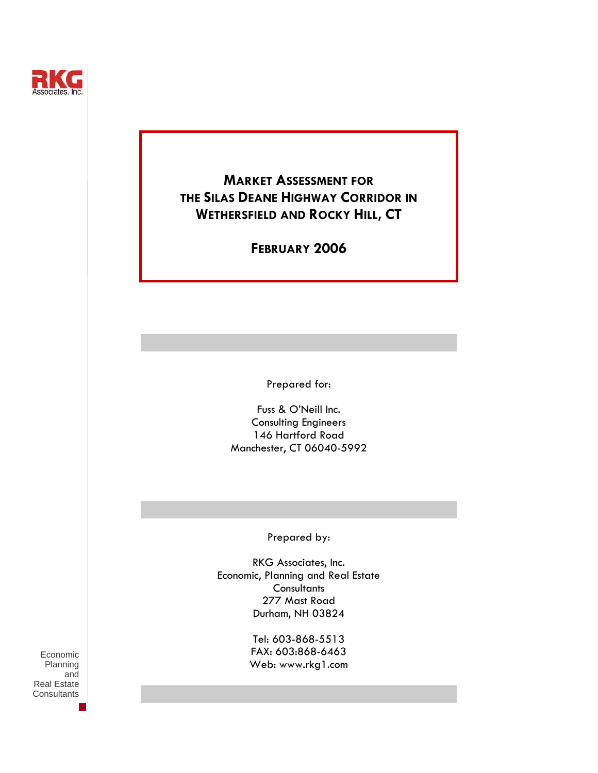

## **MARKET ASSESSMENT FOR THE SILAS DEANE HIGHWAY CORRIDOR IN WETHERSFIELD AND ROCKY HILL, CT**

**FEBRUARY 2006** 

Prepared for:

Fuss & O'Neill Inc. Consulting Engineers 146 Hartford Road Manchester, CT 06040-5992

Prepared by:

RKG Associates, Inc. Economic, Planning and Real Estate **Consultants** 277 Mast Road Durham, NH 03824

> Tel: 603-868-5513 FAX: 603:868-6463 Web: www.rkg1.com

Economic Planning and Real Estate **Consultants**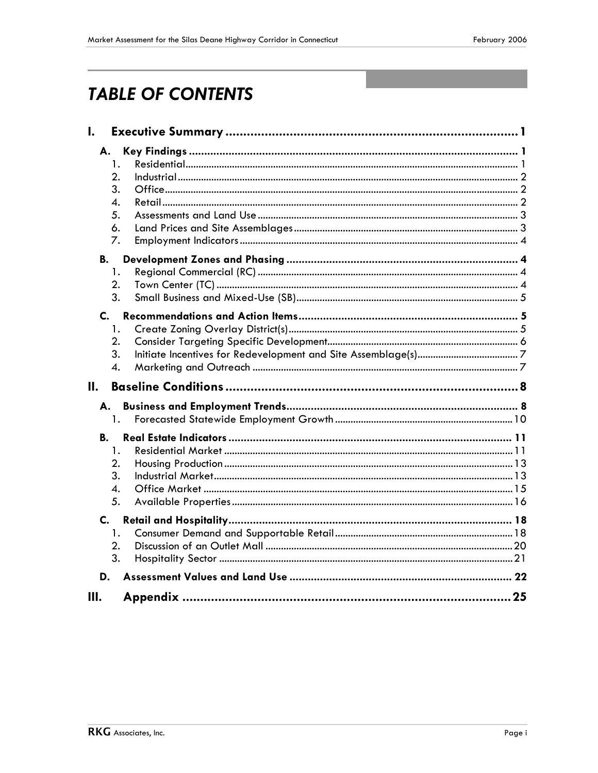# **TABLE OF CONTENTS**

| I.                                             |  |
|------------------------------------------------|--|
| А.<br>1.<br>2.<br>3.<br>4.<br>5.<br>6.<br>7.   |  |
| <b>B.</b><br>1.<br>2.<br>3.                    |  |
| $\mathbf{C}$ .<br>1.<br>2.<br>3.<br>4.         |  |
| Н.                                             |  |
| А.<br>1.                                       |  |
| В.<br>1.<br>2.<br>3.<br>$\overline{4}$ .<br>5. |  |
| C.<br>1.<br>2.<br>3.                           |  |
| D.                                             |  |
| Ш.                                             |  |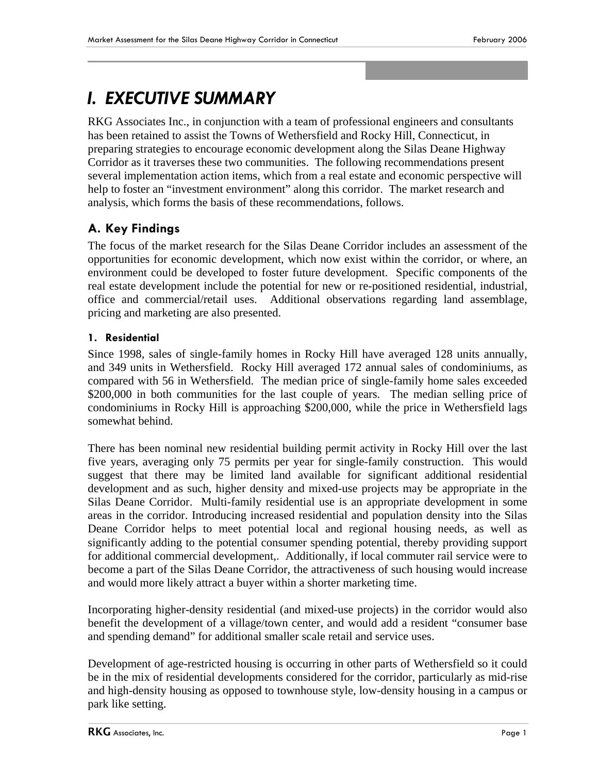## *I. EXECUTIVE SUMMARY*

RKG Associates Inc., in conjunction with a team of professional engineers and consultants has been retained to assist the Towns of Wethersfield and Rocky Hill, Connecticut, in preparing strategies to encourage economic development along the Silas Deane Highway Corridor as it traverses these two communities. The following recommendations present several implementation action items, which from a real estate and economic perspective will help to foster an "investment environment" along this corridor. The market research and analysis, which forms the basis of these recommendations, follows.

## **A. Key Findings**

The focus of the market research for the Silas Deane Corridor includes an assessment of the opportunities for economic development, which now exist within the corridor, or where, an environment could be developed to foster future development. Specific components of the real estate development include the potential for new or re-positioned residential, industrial, office and commercial/retail uses. Additional observations regarding land assemblage, pricing and marketing are also presented.

### **1. Residential**

Since 1998, sales of single-family homes in Rocky Hill have averaged 128 units annually, and 349 units in Wethersfield. Rocky Hill averaged 172 annual sales of condominiums, as compared with 56 in Wethersfield. The median price of single-family home sales exceeded \$200,000 in both communities for the last couple of years. The median selling price of condominiums in Rocky Hill is approaching \$200,000, while the price in Wethersfield lags somewhat behind.

There has been nominal new residential building permit activity in Rocky Hill over the last five years, averaging only 75 permits per year for single-family construction. This would suggest that there may be limited land available for significant additional residential development and as such, higher density and mixed-use projects may be appropriate in the Silas Deane Corridor. Multi-family residential use is an appropriate development in some areas in the corridor. Introducing increased residential and population density into the Silas Deane Corridor helps to meet potential local and regional housing needs, as well as significantly adding to the potential consumer spending potential, thereby providing support for additional commercial development,. Additionally, if local commuter rail service were to become a part of the Silas Deane Corridor, the attractiveness of such housing would increase and would more likely attract a buyer within a shorter marketing time.

Incorporating higher-density residential (and mixed-use projects) in the corridor would also benefit the development of a village/town center, and would add a resident "consumer base and spending demand" for additional smaller scale retail and service uses.

Development of age-restricted housing is occurring in other parts of Wethersfield so it could be in the mix of residential developments considered for the corridor, particularly as mid-rise and high-density housing as opposed to townhouse style, low-density housing in a campus or park like setting.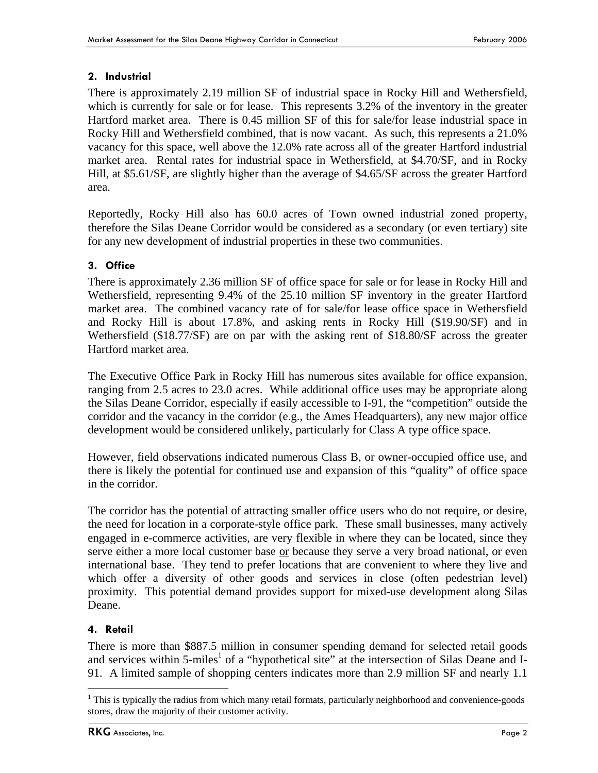## **2. Industrial**

There is approximately 2.19 million SF of industrial space in Rocky Hill and Wethersfield, which is currently for sale or for lease. This represents 3.2% of the inventory in the greater Hartford market area. There is 0.45 million SF of this for sale/for lease industrial space in Rocky Hill and Wethersfield combined, that is now vacant. As such, this represents a 21.0% vacancy for this space, well above the 12.0% rate across all of the greater Hartford industrial market area. Rental rates for industrial space in Wethersfield, at \$4.70/SF, and in Rocky Hill, at \$5.61/SF, are slightly higher than the average of \$4.65/SF across the greater Hartford area.

Reportedly, Rocky Hill also has 60.0 acres of Town owned industrial zoned property, therefore the Silas Deane Corridor would be considered as a secondary (or even tertiary) site for any new development of industrial properties in these two communities.

## **3. Office**

There is approximately 2.36 million SF of office space for sale or for lease in Rocky Hill and Wethersfield, representing 9.4% of the 25.10 million SF inventory in the greater Hartford market area. The combined vacancy rate of for sale/for lease office space in Wethersfield and Rocky Hill is about 17.8%, and asking rents in Rocky Hill (\$19.90/SF) and in Wethersfield (\$18.77/SF) are on par with the asking rent of \$18.80/SF across the greater Hartford market area.

The Executive Office Park in Rocky Hill has numerous sites available for office expansion, ranging from 2.5 acres to 23.0 acres. While additional office uses may be appropriate along the Silas Deane Corridor, especially if easily accessible to I-91, the "competition" outside the corridor and the vacancy in the corridor (e.g., the Ames Headquarters), any new major office development would be considered unlikely, particularly for Class A type office space.

However, field observations indicated numerous Class B, or owner-occupied office use, and there is likely the potential for continued use and expansion of this "quality" of office space in the corridor.

The corridor has the potential of attracting smaller office users who do not require, or desire, the need for location in a corporate-style office park. These small businesses, many actively engaged in e-commerce activities, are very flexible in where they can be located, since they serve either a more local customer base or because they serve a very broad national, or even international base. They tend to prefer locations that are convenient to where they live and which offer a diversity of other goods and services in close (often pedestrian level) proximity. This potential demand provides support for mixed-use development along Silas Deane.

## **4. Retail**

 $\overline{a}$ 

There is more than \$887.5 million in consumer spending demand for selected retail goods and services within 5-miles<sup>1</sup> of a "hypothetical site" at the intersection of Silas Deane and I-91. A limited sample of shopping centers indicates more than 2.9 million SF and nearly 1.1

<sup>&</sup>lt;sup>1</sup> This is typically the radius from which many retail formats, particularly neighborhood and convenience-goods stores, draw the majority of their customer activity.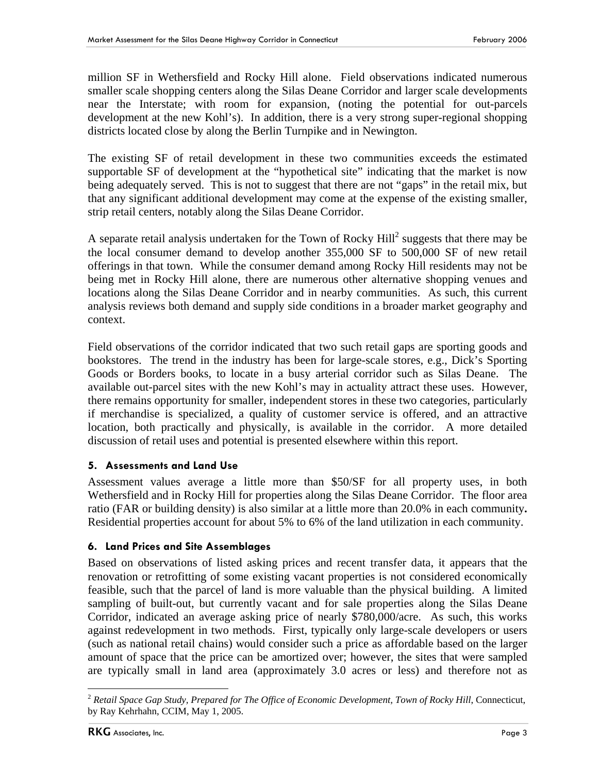million SF in Wethersfield and Rocky Hill alone. Field observations indicated numerous smaller scale shopping centers along the Silas Deane Corridor and larger scale developments near the Interstate; with room for expansion, (noting the potential for out-parcels development at the new Kohl's). In addition, there is a very strong super-regional shopping districts located close by along the Berlin Turnpike and in Newington.

The existing SF of retail development in these two communities exceeds the estimated supportable SF of development at the "hypothetical site" indicating that the market is now being adequately served. This is not to suggest that there are not "gaps" in the retail mix, but that any significant additional development may come at the expense of the existing smaller, strip retail centers, notably along the Silas Deane Corridor.

A separate retail analysis undertaken for the Town of Rocky  $Hill^2$  suggests that there may be the local consumer demand to develop another 355,000 SF to 500,000 SF of new retail offerings in that town. While the consumer demand among Rocky Hill residents may not be being met in Rocky Hill alone, there are numerous other alternative shopping venues and locations along the Silas Deane Corridor and in nearby communities. As such, this current analysis reviews both demand and supply side conditions in a broader market geography and context.

Field observations of the corridor indicated that two such retail gaps are sporting goods and bookstores. The trend in the industry has been for large-scale stores, e.g., Dick's Sporting Goods or Borders books, to locate in a busy arterial corridor such as Silas Deane. The available out-parcel sites with the new Kohl's may in actuality attract these uses. However, there remains opportunity for smaller, independent stores in these two categories, particularly if merchandise is specialized, a quality of customer service is offered, and an attractive location, both practically and physically, is available in the corridor. A more detailed discussion of retail uses and potential is presented elsewhere within this report.

## **5. Assessments and Land Use**

Assessment values average a little more than \$50/SF for all property uses, in both Wethersfield and in Rocky Hill for properties along the Silas Deane Corridor. The floor area ratio (FAR or building density) is also similar at a little more than 20.0% in each community**.**  Residential properties account for about 5% to 6% of the land utilization in each community.

## **6. Land Prices and Site Assemblages**

Based on observations of listed asking prices and recent transfer data, it appears that the renovation or retrofitting of some existing vacant properties is not considered economically feasible, such that the parcel of land is more valuable than the physical building. A limited sampling of built-out, but currently vacant and for sale properties along the Silas Deane Corridor, indicated an average asking price of nearly \$780,000/acre. As such, this works against redevelopment in two methods. First, typically only large-scale developers or users (such as national retail chains) would consider such a price as affordable based on the larger amount of space that the price can be amortized over; however, the sites that were sampled are typically small in land area (approximately 3.0 acres or less) and therefore not as

1

<sup>2</sup> *Retail Space Gap Study, Prepared for The Office of Economic Development, Town of Rocky Hill*, Connecticut, by Ray Kehrhahn, CCIM, May 1, 2005.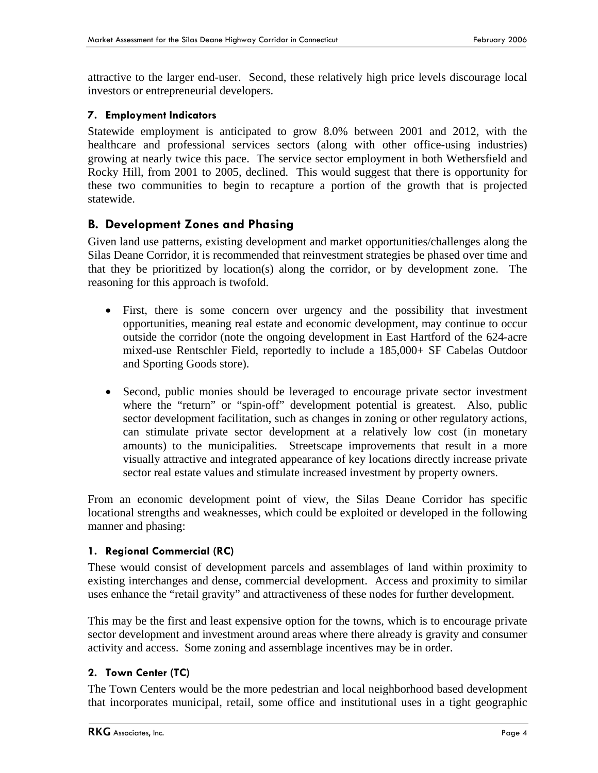attractive to the larger end-user. Second, these relatively high price levels discourage local investors or entrepreneurial developers.

#### **7. Employment Indicators**

Statewide employment is anticipated to grow 8.0% between 2001 and 2012, with the healthcare and professional services sectors (along with other office-using industries) growing at nearly twice this pace. The service sector employment in both Wethersfield and Rocky Hill, from 2001 to 2005, declined. This would suggest that there is opportunity for these two communities to begin to recapture a portion of the growth that is projected statewide.

## **B. Development Zones and Phasing**

Given land use patterns, existing development and market opportunities/challenges along the Silas Deane Corridor, it is recommended that reinvestment strategies be phased over time and that they be prioritized by location(s) along the corridor, or by development zone. The reasoning for this approach is twofold.

- First, there is some concern over urgency and the possibility that investment opportunities, meaning real estate and economic development, may continue to occur outside the corridor (note the ongoing development in East Hartford of the 624-acre mixed-use Rentschler Field, reportedly to include a 185,000+ SF Cabelas Outdoor and Sporting Goods store).
- Second, public monies should be leveraged to encourage private sector investment where the "return" or "spin-off" development potential is greatest. Also, public sector development facilitation, such as changes in zoning or other regulatory actions, can stimulate private sector development at a relatively low cost (in monetary amounts) to the municipalities. Streetscape improvements that result in a more visually attractive and integrated appearance of key locations directly increase private sector real estate values and stimulate increased investment by property owners.

From an economic development point of view, the Silas Deane Corridor has specific locational strengths and weaknesses, which could be exploited or developed in the following manner and phasing:

#### **1. Regional Commercial (RC)**

These would consist of development parcels and assemblages of land within proximity to existing interchanges and dense, commercial development. Access and proximity to similar uses enhance the "retail gravity" and attractiveness of these nodes for further development.

This may be the first and least expensive option for the towns, which is to encourage private sector development and investment around areas where there already is gravity and consumer activity and access. Some zoning and assemblage incentives may be in order.

## **2. Town Center (TC)**

The Town Centers would be the more pedestrian and local neighborhood based development that incorporates municipal, retail, some office and institutional uses in a tight geographic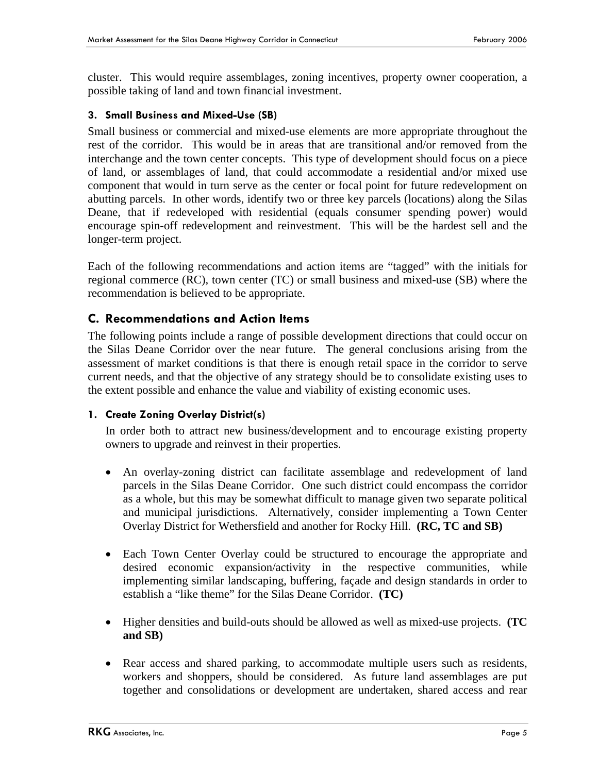cluster. This would require assemblages, zoning incentives, property owner cooperation, a possible taking of land and town financial investment.

#### **3. Small Business and Mixed-Use (SB)**

Small business or commercial and mixed-use elements are more appropriate throughout the rest of the corridor. This would be in areas that are transitional and/or removed from the interchange and the town center concepts. This type of development should focus on a piece of land, or assemblages of land, that could accommodate a residential and/or mixed use component that would in turn serve as the center or focal point for future redevelopment on abutting parcels. In other words, identify two or three key parcels (locations) along the Silas Deane, that if redeveloped with residential (equals consumer spending power) would encourage spin-off redevelopment and reinvestment. This will be the hardest sell and the longer-term project.

Each of the following recommendations and action items are "tagged" with the initials for regional commerce (RC), town center (TC) or small business and mixed-use (SB) where the recommendation is believed to be appropriate.

## **C. Recommendations and Action Items**

The following points include a range of possible development directions that could occur on the Silas Deane Corridor over the near future. The general conclusions arising from the assessment of market conditions is that there is enough retail space in the corridor to serve current needs, and that the objective of any strategy should be to consolidate existing uses to the extent possible and enhance the value and viability of existing economic uses.

#### **1. Create Zoning Overlay District(s)**

In order both to attract new business/development and to encourage existing property owners to upgrade and reinvest in their properties.

- An overlay-zoning district can facilitate assemblage and redevelopment of land parcels in the Silas Deane Corridor. One such district could encompass the corridor as a whole, but this may be somewhat difficult to manage given two separate political and municipal jurisdictions. Alternatively, consider implementing a Town Center Overlay District for Wethersfield and another for Rocky Hill. **(RC, TC and SB)**
- Each Town Center Overlay could be structured to encourage the appropriate and desired economic expansion/activity in the respective communities, while implementing similar landscaping, buffering, façade and design standards in order to establish a "like theme" for the Silas Deane Corridor. **(TC)**
- Higher densities and build-outs should be allowed as well as mixed-use projects. **(TC and SB)**
- Rear access and shared parking, to accommodate multiple users such as residents, workers and shoppers, should be considered. As future land assemblages are put together and consolidations or development are undertaken, shared access and rear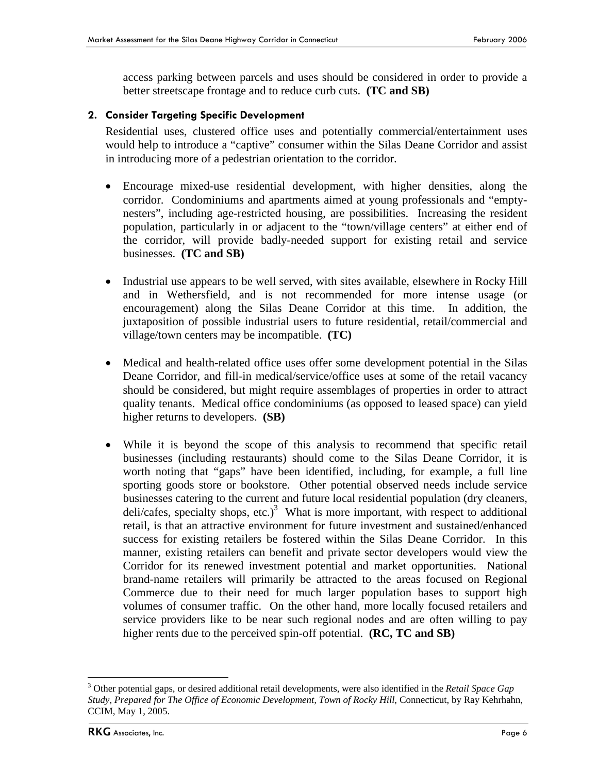access parking between parcels and uses should be considered in order to provide a better streetscape frontage and to reduce curb cuts. **(TC and SB)**

#### **2. Consider Targeting Specific Development**

Residential uses, clustered office uses and potentially commercial/entertainment uses would help to introduce a "captive" consumer within the Silas Deane Corridor and assist in introducing more of a pedestrian orientation to the corridor.

- Encourage mixed-use residential development, with higher densities, along the corridor. Condominiums and apartments aimed at young professionals and "emptynesters", including age-restricted housing, are possibilities. Increasing the resident population, particularly in or adjacent to the "town/village centers" at either end of the corridor, will provide badly-needed support for existing retail and service businesses. **(TC and SB)**
- Industrial use appears to be well served, with sites available, elsewhere in Rocky Hill and in Wethersfield, and is not recommended for more intense usage (or encouragement) along the Silas Deane Corridor at this time. In addition, the juxtaposition of possible industrial users to future residential, retail/commercial and village/town centers may be incompatible. **(TC)**
- Medical and health-related office uses offer some development potential in the Silas Deane Corridor, and fill-in medical/service/office uses at some of the retail vacancy should be considered, but might require assemblages of properties in order to attract quality tenants. Medical office condominiums (as opposed to leased space) can yield higher returns to developers. **(SB)**
- While it is beyond the scope of this analysis to recommend that specific retail businesses (including restaurants) should come to the Silas Deane Corridor, it is worth noting that "gaps" have been identified, including, for example, a full line sporting goods store or bookstore. Other potential observed needs include service businesses catering to the current and future local residential population (dry cleaners, deli/cafes, specialty shops, etc.)<sup>3</sup> What is more important, with respect to additional retail, is that an attractive environment for future investment and sustained/enhanced success for existing retailers be fostered within the Silas Deane Corridor. In this manner, existing retailers can benefit and private sector developers would view the Corridor for its renewed investment potential and market opportunities. National brand-name retailers will primarily be attracted to the areas focused on Regional Commerce due to their need for much larger population bases to support high volumes of consumer traffic. On the other hand, more locally focused retailers and service providers like to be near such regional nodes and are often willing to pay higher rents due to the perceived spin-off potential. **(RC, TC and SB)**

 $\overline{a}$ 3 Other potential gaps, or desired additional retail developments, were also identified in the *Retail Space Gap Study, Prepared for The Office of Economic Development, Town of Rocky Hill*, Connecticut, by Ray Kehrhahn, CCIM, May 1, 2005.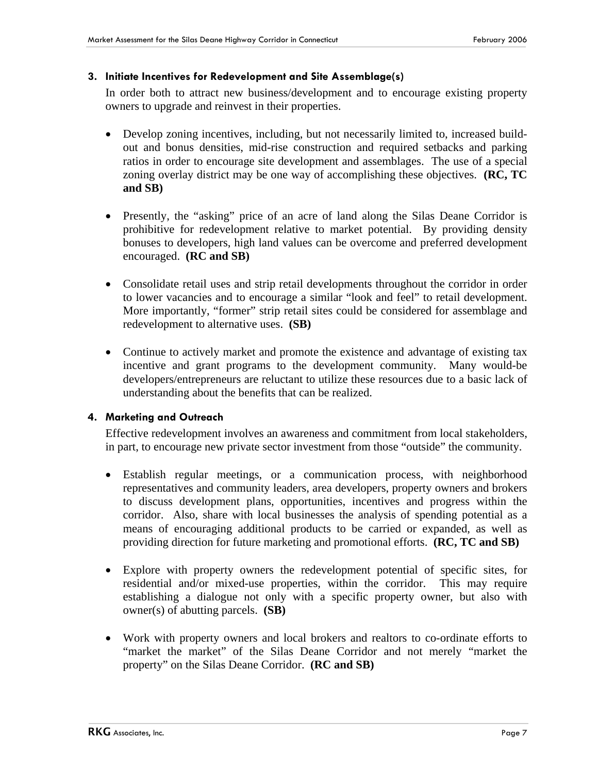#### **3. Initiate Incentives for Redevelopment and Site Assemblage(s)**

In order both to attract new business/development and to encourage existing property owners to upgrade and reinvest in their properties.

- Develop zoning incentives, including, but not necessarily limited to, increased buildout and bonus densities, mid-rise construction and required setbacks and parking ratios in order to encourage site development and assemblages. The use of a special zoning overlay district may be one way of accomplishing these objectives. **(RC, TC and SB)**
- Presently, the "asking" price of an acre of land along the Silas Deane Corridor is prohibitive for redevelopment relative to market potential. By providing density bonuses to developers, high land values can be overcome and preferred development encouraged. **(RC and SB)**
- Consolidate retail uses and strip retail developments throughout the corridor in order to lower vacancies and to encourage a similar "look and feel" to retail development. More importantly, "former" strip retail sites could be considered for assemblage and redevelopment to alternative uses. **(SB)**
- Continue to actively market and promote the existence and advantage of existing tax incentive and grant programs to the development community. Many would-be developers/entrepreneurs are reluctant to utilize these resources due to a basic lack of understanding about the benefits that can be realized.

#### **4. Marketing and Outreach**

Effective redevelopment involves an awareness and commitment from local stakeholders, in part, to encourage new private sector investment from those "outside" the community.

- Establish regular meetings, or a communication process, with neighborhood representatives and community leaders, area developers, property owners and brokers to discuss development plans, opportunities, incentives and progress within the corridor. Also, share with local businesses the analysis of spending potential as a means of encouraging additional products to be carried or expanded, as well as providing direction for future marketing and promotional efforts. **(RC, TC and SB)**
- Explore with property owners the redevelopment potential of specific sites, for residential and/or mixed-use properties, within the corridor. This may require establishing a dialogue not only with a specific property owner, but also with owner(s) of abutting parcels. **(SB)**
- Work with property owners and local brokers and realtors to co-ordinate efforts to "market the market" of the Silas Deane Corridor and not merely "market the property" on the Silas Deane Corridor. **(RC and SB)**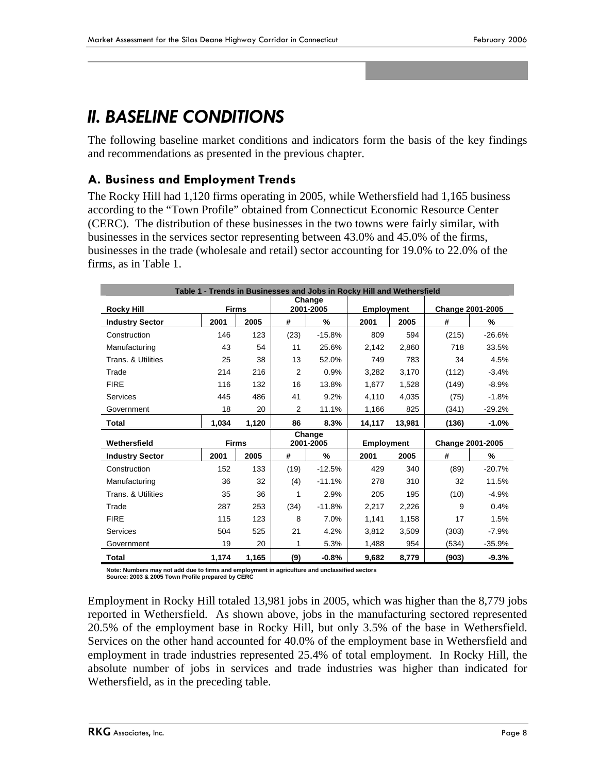## *II. BASELINE CONDITIONS*

The following baseline market conditions and indicators form the basis of the key findings and recommendations as presented in the previous chapter.

## **A. Business and Employment Trends**

The Rocky Hill had 1,120 firms operating in 2005, while Wethersfield had 1,165 business according to the "Town Profile" obtained from Connecticut Economic Resource Center (CERC). The distribution of these businesses in the two towns were fairly similar, with businesses in the services sector representing between 43.0% and 45.0% of the firms, businesses in the trade (wholesale and retail) sector accounting for 19.0% to 22.0% of the firms, as in Table 1.

| Table 1 - Trends in Businesses and Jobs in Rocky Hill and Wethersfield |              |       |                     |           |                   |        |                  |                  |  |
|------------------------------------------------------------------------|--------------|-------|---------------------|-----------|-------------------|--------|------------------|------------------|--|
| <b>Rocky Hill</b>                                                      | <b>Firms</b> |       | Change<br>2001-2005 |           | <b>Employment</b> |        |                  | Change 2001-2005 |  |
| <b>Industry Sector</b>                                                 | 2001         | 2005  | #                   | %         | 2001              | 2005   | #                | %                |  |
| Construction                                                           | 146          | 123   | (23)                | $-15.8%$  | 809               | 594    | (215)            | $-26.6%$         |  |
| Manufacturing                                                          | 43           | 54    | 11                  | 25.6%     | 2,142             | 2,860  | 718              | 33.5%            |  |
| Trans. & Utilities                                                     | 25           | 38    | 13                  | 52.0%     | 749               | 783    | 34               | 4.5%             |  |
| Trade                                                                  | 214          | 216   | 2                   | 0.9%      | 3,282             | 3,170  | (112)            | $-3.4%$          |  |
| <b>FIRE</b>                                                            | 116          | 132   | 16                  | 13.8%     | 1,677             | 1,528  | (149)            | $-8.9%$          |  |
| <b>Services</b>                                                        | 445          | 486   | 41                  | 9.2%      | 4,110             | 4,035  | (75)             | $-1.8%$          |  |
| Government                                                             | 18           | 20    | 2                   | 11.1%     | 1,166             | 825    | (341)            | $-29.2%$         |  |
| Total                                                                  | 1.034        | 1,120 | 86                  | 8.3%      | 14,117            | 13,981 | (136)            | $-1.0%$          |  |
|                                                                        |              |       |                     | Change    |                   |        |                  |                  |  |
| Wethersfield                                                           | <b>Firms</b> |       |                     | 2001-2005 | <b>Employment</b> |        | Change 2001-2005 |                  |  |
| <b>Industry Sector</b>                                                 | 2001         | 2005  | #                   | %         | 2001              | 2005   | #                | %                |  |
| Construction                                                           | 152          | 133   | (19)                | $-12.5%$  | 429               | 340    | (89)             | $-20.7%$         |  |
| Manufacturing                                                          | 36           | 32    | (4)                 | $-11.1%$  | 278               | 310    | 32               | 11.5%            |  |
| Trans. & Utilities                                                     | 35           | 36    | 1                   | 2.9%      | 205               | 195    | (10)             | $-4.9%$          |  |
| Trade                                                                  | 287          | 253   | (34)                | $-11.8%$  | 2,217             | 2,226  | 9                | 0.4%             |  |
| <b>FIRE</b>                                                            | 115          | 123   | 8                   | 7.0%      | 1,141             | 1,158  | 17               | 1.5%             |  |
| Services                                                               | 504          | 525   | 21                  | 4.2%      | 3,812             | 3,509  | (303)            | $-7.9%$          |  |
| Government                                                             | 19           | 20    | 1                   | 5.3%      | 1,488             | 954    | (534)            | $-35.9%$         |  |
| Total                                                                  | 1,174        | 1,165 | (9)                 | $-0.8%$   | 9,682             | 8,779  | (903)            | $-9.3%$          |  |

**Note: Numbers may not add due to firms and employment in agriculture and unclassified sectors Source: 2003 & 2005 Town Profile prepared by CERC**

Employment in Rocky Hill totaled 13,981 jobs in 2005, which was higher than the 8,779 jobs reported in Wethersfield. As shown above, jobs in the manufacturing sectored represented 20.5% of the employment base in Rocky Hill, but only 3.5% of the base in Wethersfield. Services on the other hand accounted for 40.0% of the employment base in Wethersfield and employment in trade industries represented 25.4% of total employment. In Rocky Hill, the absolute number of jobs in services and trade industries was higher than indicated for Wethersfield, as in the preceding table.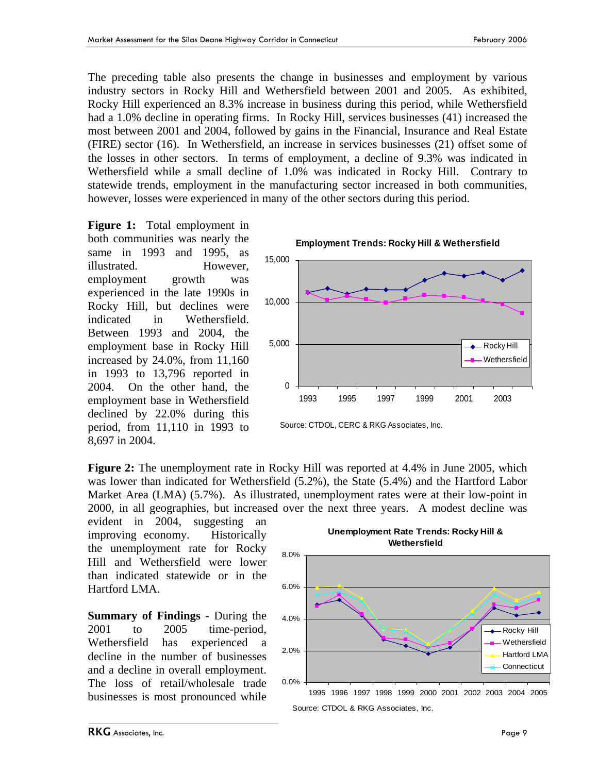The preceding table also presents the change in businesses and employment by various industry sectors in Rocky Hill and Wethersfield between 2001 and 2005. As exhibited, Rocky Hill experienced an 8.3% increase in business during this period, while Wethersfield had a 1.0% decline in operating firms. In Rocky Hill, services businesses (41) increased the most between 2001 and 2004, followed by gains in the Financial, Insurance and Real Estate (FIRE) sector (16). In Wethersfield, an increase in services businesses (21) offset some of the losses in other sectors. In terms of employment, a decline of 9.3% was indicated in Wethersfield while a small decline of 1.0% was indicated in Rocky Hill. Contrary to statewide trends, employment in the manufacturing sector increased in both communities, however, losses were experienced in many of the other sectors during this period.

**Figure 1:** Total employment in both communities was nearly the same in 1993 and 1995, as illustrated. However, employment growth was experienced in the late 1990s in Rocky Hill, but declines were indicated in Wethersfield. Between 1993 and 2004, the employment base in Rocky Hill increased by 24.0%, from 11,160 in 1993 to 13,796 reported in 2004. On the other hand, the employment base in Wethersfield declined by 22.0% during this period, from 11,110 in 1993 to 8,697 in 2004.



Source: CTDOL, CERC & RKG Associates, Inc.

**Figure 2:** The unemployment rate in Rocky Hill was reported at 4.4% in June 2005, which was lower than indicated for Wethersfield (5.2%), the State (5.4%) and the Hartford Labor Market Area (LMA) (5.7%). As illustrated, unemployment rates were at their low-point in 2000, in all geographies, but increased over the next three years. A modest decline was

evident in 2004, suggesting an improving economy. Historically the unemployment rate for Rocky Hill and Wethersfield were lower than indicated statewide or in the Hartford LMA.

**Summary of Findings** - During the 2001 to 2005 time-period, Wethersfield has experienced a decline in the number of businesses and a decline in overall employment. The loss of retail/wholesale trade businesses is most pronounced while



**Unemployment Rate Trends: Rocky Hill &** 

Source: CTDOL & RKG Associates, Inc.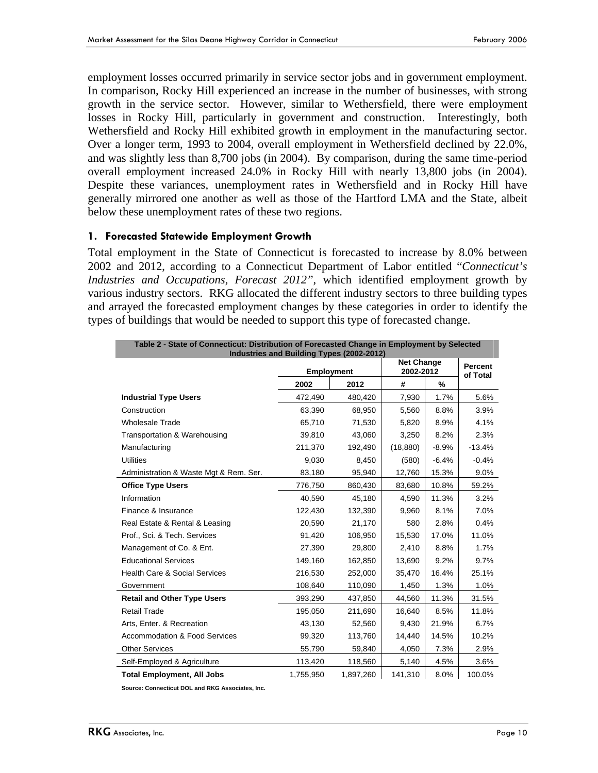employment losses occurred primarily in service sector jobs and in government employment. In comparison, Rocky Hill experienced an increase in the number of businesses, with strong growth in the service sector. However, similar to Wethersfield, there were employment losses in Rocky Hill, particularly in government and construction. Interestingly, both Wethersfield and Rocky Hill exhibited growth in employment in the manufacturing sector. Over a longer term, 1993 to 2004, overall employment in Wethersfield declined by 22.0%, and was slightly less than 8,700 jobs (in 2004). By comparison, during the same time-period overall employment increased 24.0% in Rocky Hill with nearly 13,800 jobs (in 2004). Despite these variances, unemployment rates in Wethersfield and in Rocky Hill have generally mirrored one another as well as those of the Hartford LMA and the State, albeit below these unemployment rates of these two regions.

#### **1. Forecasted Statewide Employment Growth**

Total employment in the State of Connecticut is forecasted to increase by 8.0% between 2002 and 2012, according to a Connecticut Department of Labor entitled "*Connecticut's Industries and Occupations, Forecast 2012"*, which identified employment growth by various industry sectors. RKG allocated the different industry sectors to three building types and arrayed the forecasted employment changes by these categories in order to identify the types of buildings that would be needed to support this type of forecasted change.

| Table 2 - State of Connecticut: Distribution of Forecasted Change in Employment by Selected<br>Industries and Building Types (2002-2012) |                   |           |                                |                     |          |  |  |  |
|------------------------------------------------------------------------------------------------------------------------------------------|-------------------|-----------|--------------------------------|---------------------|----------|--|--|--|
|                                                                                                                                          | <b>Employment</b> |           | <b>Net Change</b><br>2002-2012 | Percent<br>of Total |          |  |  |  |
|                                                                                                                                          | 2002              | 2012      | #                              | %                   |          |  |  |  |
| <b>Industrial Type Users</b>                                                                                                             | 472,490           | 480,420   | 7,930                          | 1.7%                | 5.6%     |  |  |  |
| Construction                                                                                                                             | 63,390            | 68,950    | 5,560                          | 8.8%                | 3.9%     |  |  |  |
| <b>Wholesale Trade</b>                                                                                                                   | 65.710            | 71.530    | 5,820                          | 8.9%                | 4.1%     |  |  |  |
| Transportation & Warehousing                                                                                                             | 39,810            | 43,060    | 3,250                          | 8.2%                | 2.3%     |  |  |  |
| Manufacturing                                                                                                                            | 211,370           | 192,490   | (18, 880)                      | $-8.9%$             | $-13.4%$ |  |  |  |
| <b>Utilities</b>                                                                                                                         | 9,030             | 8,450     | (580)                          | $-6.4%$             | $-0.4%$  |  |  |  |
| Administration & Waste Mgt & Rem. Ser.                                                                                                   | 83,180            | 95,940    | 12,760                         | 15.3%               | $9.0\%$  |  |  |  |
| <b>Office Type Users</b>                                                                                                                 | 776,750           | 860,430   | 83,680                         | 10.8%               | 59.2%    |  |  |  |
| Information                                                                                                                              | 40,590            | 45,180    | 4,590                          | 11.3%               | 3.2%     |  |  |  |
| Finance & Insurance                                                                                                                      | 122,430           | 132,390   | 9,960                          | 8.1%                | 7.0%     |  |  |  |
| Real Estate & Rental & Leasing                                                                                                           | 20,590            | 21,170    | 580                            | 2.8%                | 0.4%     |  |  |  |
| Prof., Sci. & Tech. Services                                                                                                             | 91,420            | 106.950   | 15,530                         | 17.0%               | 11.0%    |  |  |  |
| Management of Co. & Ent.                                                                                                                 | 27,390            | 29.800    | 2.410                          | 8.8%                | 1.7%     |  |  |  |
| <b>Educational Services</b>                                                                                                              | 149,160           | 162,850   | 13,690                         | 9.2%                | 9.7%     |  |  |  |
| <b>Health Care &amp; Social Services</b>                                                                                                 | 216,530           | 252,000   | 35,470                         | 16.4%               | 25.1%    |  |  |  |
| Government                                                                                                                               | 108,640           | 110,090   | 1,450                          | 1.3%                | 1.0%     |  |  |  |
| <b>Retail and Other Type Users</b>                                                                                                       | 393,290           | 437,850   | 44,560                         | 11.3%               | 31.5%    |  |  |  |
| <b>Retail Trade</b>                                                                                                                      | 195,050           | 211,690   | 16,640                         | 8.5%                | 11.8%    |  |  |  |
| Arts, Enter. & Recreation                                                                                                                | 43,130            | 52,560    | 9,430                          | 21.9%               | 6.7%     |  |  |  |
| <b>Accommodation &amp; Food Services</b>                                                                                                 | 99,320            | 113,760   | 14,440                         | 14.5%               | 10.2%    |  |  |  |
| <b>Other Services</b>                                                                                                                    | 55,790            | 59,840    | 4,050                          | 7.3%                | 2.9%     |  |  |  |
| Self-Employed & Agriculture                                                                                                              | 113,420           | 118,560   | 5,140                          | 4.5%                | 3.6%     |  |  |  |
| <b>Total Employment, All Jobs</b>                                                                                                        | 1,755,950         | 1.897.260 | 141,310                        | 8.0%                | 100.0%   |  |  |  |

**Source: Connecticut DOL and RKG Associates, Inc.**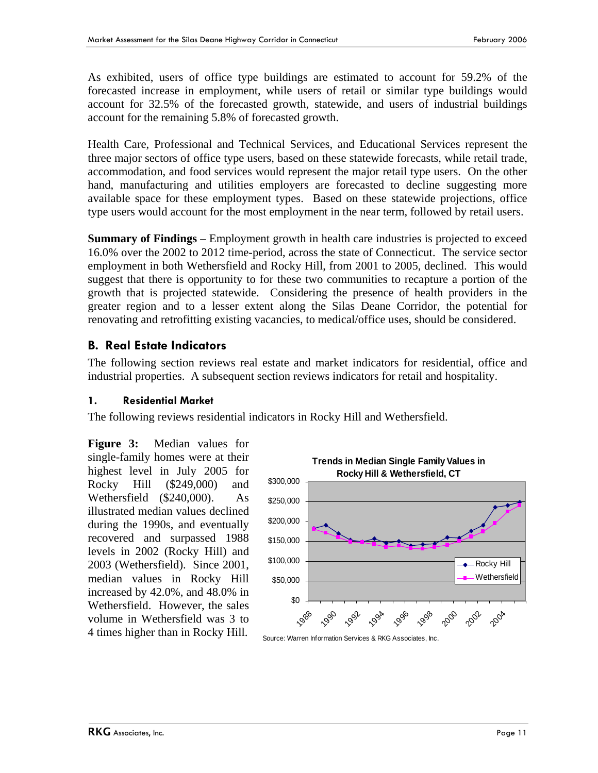As exhibited, users of office type buildings are estimated to account for 59.2% of the forecasted increase in employment, while users of retail or similar type buildings would account for 32.5% of the forecasted growth, statewide, and users of industrial buildings account for the remaining 5.8% of forecasted growth.

Health Care, Professional and Technical Services, and Educational Services represent the three major sectors of office type users, based on these statewide forecasts, while retail trade, accommodation, and food services would represent the major retail type users. On the other hand, manufacturing and utilities employers are forecasted to decline suggesting more available space for these employment types. Based on these statewide projections, office type users would account for the most employment in the near term, followed by retail users.

**Summary of Findings** – Employment growth in health care industries is projected to exceed 16.0% over the 2002 to 2012 time-period, across the state of Connecticut. The service sector employment in both Wethersfield and Rocky Hill, from 2001 to 2005, declined. This would suggest that there is opportunity to for these two communities to recapture a portion of the growth that is projected statewide. Considering the presence of health providers in the greater region and to a lesser extent along the Silas Deane Corridor, the potential for renovating and retrofitting existing vacancies, to medical/office uses, should be considered.

## **B. Real Estate Indicators**

The following section reviews real estate and market indicators for residential, office and industrial properties. A subsequent section reviews indicators for retail and hospitality.

#### **1. Residential Market**

The following reviews residential indicators in Rocky Hill and Wethersfield.

**Figure 3:** Median values for single-family homes were at their highest level in July 2005 for Rocky Hill (\$249,000) and Wethersfield (\$240,000). As illustrated median values declined during the 1990s, and eventually recovered and surpassed 1988 levels in 2002 (Rocky Hill) and 2003 (Wethersfield). Since 2001, median values in Rocky Hill increased by 42.0%, and 48.0% in Wethersfield. However, the sales volume in Wethersfield was 3 to 4 times higher than in Rocky Hill.



Source: Warren Information Services & RKG Associates, Inc.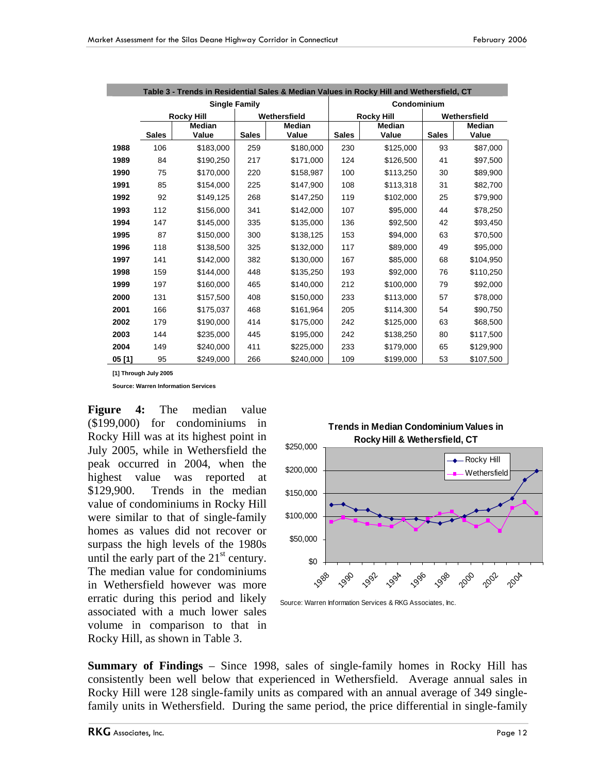|       |              |                   |                      | Table 3 - Trends in Residential Sales & Median Values in Rocky Hill and Wethersfield, CT |                   |               |              |               |  |
|-------|--------------|-------------------|----------------------|------------------------------------------------------------------------------------------|-------------------|---------------|--------------|---------------|--|
|       |              |                   | <b>Single Family</b> | Condominium                                                                              |                   |               |              |               |  |
|       |              | <b>Rocky Hill</b> |                      | Wethersfield                                                                             | <b>Rocky Hill</b> |               | Wethersfield |               |  |
|       |              | <b>Median</b>     |                      | <b>Median</b>                                                                            |                   | <b>Median</b> |              | <b>Median</b> |  |
|       | <b>Sales</b> | Value             | <b>Sales</b>         | Value                                                                                    | <b>Sales</b>      | Value         | <b>Sales</b> | Value         |  |
| 1988  | 106          | \$183,000         | 259                  | \$180,000                                                                                | 230               | \$125,000     | 93           | \$87,000      |  |
| 1989  | 84           | \$190,250         | 217                  | \$171,000                                                                                | 124               | \$126,500     | 41           | \$97,500      |  |
| 1990  | 75           | \$170,000         | 220                  | \$158,987                                                                                | 100               | \$113,250     | 30           | \$89,900      |  |
| 1991  | 85           | \$154,000         | 225                  | \$147,900                                                                                | 108               | \$113,318     | 31           | \$82,700      |  |
| 1992  | 92           | \$149,125         | 268                  | \$147,250                                                                                | 119               | \$102,000     | 25           | \$79,900      |  |
| 1993  | 112          | \$156,000         | 341                  | \$142,000                                                                                | 107               | \$95,000      | 44           | \$78,250      |  |
| 1994  | 147          | \$145,000         | 335                  | \$135,000                                                                                | 136               | \$92,500      | 42           | \$93,450      |  |
| 1995  | 87           | \$150,000         | 300                  | \$138,125                                                                                | 153               | \$94,000      | 63           | \$70,500      |  |
| 1996  | 118          | \$138,500         | 325                  | \$132,000                                                                                | 117               | \$89,000      | 49           | \$95,000      |  |
| 1997  | 141          | \$142,000         | 382                  | \$130,000                                                                                | 167               | \$85,000      | 68           | \$104,950     |  |
| 1998  | 159          | \$144,000         | 448                  | \$135,250                                                                                | 193               | \$92,000      | 76           | \$110,250     |  |
| 1999  | 197          | \$160,000         | 465                  | \$140,000                                                                                | 212               | \$100,000     | 79           | \$92,000      |  |
| 2000  | 131          | \$157,500         | 408                  | \$150,000                                                                                | 233               | \$113,000     | 57           | \$78,000      |  |
| 2001  | 166          | \$175,037         | 468                  | \$161,964                                                                                | 205               | \$114,300     | 54           | \$90,750      |  |
| 2002  | 179          | \$190,000         | 414                  | \$175,000                                                                                | 242               | \$125,000     | 63           | \$68,500      |  |
| 2003  | 144          | \$235,000         | 445                  | \$195,000                                                                                | 242               | \$138,250     | 80           | \$117,500     |  |
| 2004  | 149          | \$240,000         | 411                  | \$225,000                                                                                | 233               | \$179,000     | 65           | \$129,900     |  |
| 05[1] | 95           | \$249,000         | 266                  | \$240,000                                                                                | 109               | \$199,000     | 53           | \$107.500     |  |

**[1] Through July 2005**

**Source: Warren Information Services** 

**Figure 4:** The median value (\$199,000) for condominiums in Rocky Hill was at its highest point in July 2005, while in Wethersfield the peak occurred in 2004, when the highest value was reported at \$129,900. Trends in the median value of condominiums in Rocky Hill were similar to that of single-family homes as values did not recover or surpass the high levels of the 1980s until the early part of the  $21<sup>st</sup>$  century. The median value for condominiums in Wethersfield however was more erratic during this period and likely associated with a much lower sales volume in comparison to that in Rocky Hill, as shown in Table 3.





Source: Warren Information Services & RKG Associates, Inc.

**Summary of Findings** – Since 1998, sales of single-family homes in Rocky Hill has consistently been well below that experienced in Wethersfield. Average annual sales in Rocky Hill were 128 single-family units as compared with an annual average of 349 singlefamily units in Wethersfield. During the same period, the price differential in single-family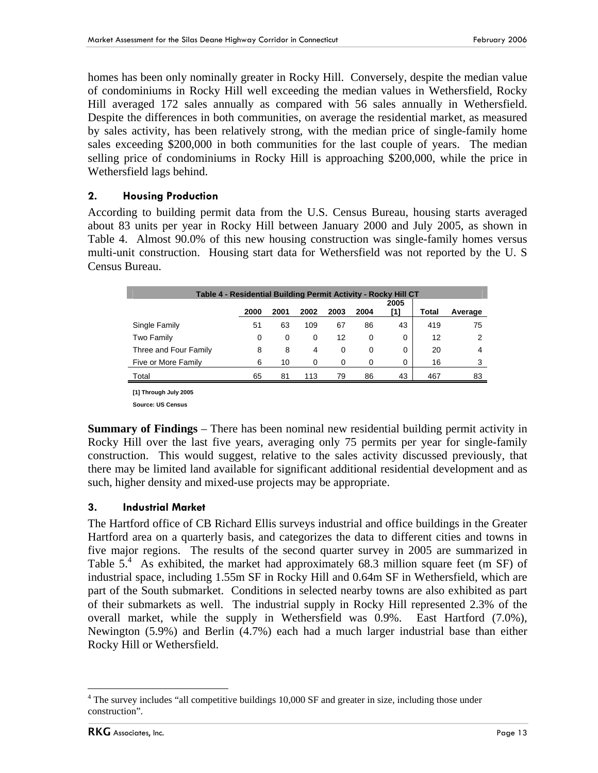homes has been only nominally greater in Rocky Hill. Conversely, despite the median value of condominiums in Rocky Hill well exceeding the median values in Wethersfield, Rocky Hill averaged 172 sales annually as compared with 56 sales annually in Wethersfield. Despite the differences in both communities, on average the residential market, as measured by sales activity, has been relatively strong, with the median price of single-family home sales exceeding \$200,000 in both communities for the last couple of years. The median selling price of condominiums in Rocky Hill is approaching \$200,000, while the price in Wethersfield lags behind.

## **2. Housing Production**

According to building permit data from the U.S. Census Bureau, housing starts averaged about 83 units per year in Rocky Hill between January 2000 and July 2005, as shown in Table 4. Almost 90.0% of this new housing construction was single-family homes versus multi-unit construction. Housing start data for Wethersfield was not reported by the U. S Census Bureau.

| Table 4 - Residential Building Permit Activity - Rocky Hill CT |      |      |      |      |      |             |       |         |  |  |
|----------------------------------------------------------------|------|------|------|------|------|-------------|-------|---------|--|--|
|                                                                | 2000 | 2001 | 2002 | 2003 | 2004 | 2005<br>[1] | Total | Average |  |  |
| Single Family                                                  | 51   | 63   | 109  | 67   | 86   | 43          | 419   | 75      |  |  |
| Two Family                                                     | 0    | 0    | 0    | 12   | 0    | 0           | 12    | 2       |  |  |
| Three and Four Family                                          | 8    | 8    | 4    | 0    | 0    | 0           | 20    | 4       |  |  |
| Five or More Family                                            | 6    | 10   | 0    | 0    | 0    | 0           | 16    | 3       |  |  |
| Total                                                          | 65   | 81   | 113  | 79   | 86   | 43          | 467   | 83      |  |  |

**[1] Through July 2005** 

**Source: US Census** 

**Summary of Findings** – There has been nominal new residential building permit activity in Rocky Hill over the last five years, averaging only 75 permits per year for single-family construction. This would suggest, relative to the sales activity discussed previously, that there may be limited land available for significant additional residential development and as such, higher density and mixed-use projects may be appropriate.

## **3. Industrial Market**

The Hartford office of CB Richard Ellis surveys industrial and office buildings in the Greater Hartford area on a quarterly basis, and categorizes the data to different cities and towns in five major regions. The results of the second quarter survey in 2005 are summarized in Table  $5<sup>4</sup>$  As exhibited, the market had approximately 68.3 million square feet (m SF) of industrial space, including 1.55m SF in Rocky Hill and 0.64m SF in Wethersfield, which are part of the South submarket. Conditions in selected nearby towns are also exhibited as part of their submarkets as well. The industrial supply in Rocky Hill represented 2.3% of the overall market, while the supply in Wethersfield was 0.9%. East Hartford (7.0%), Newington (5.9%) and Berlin (4.7%) each had a much larger industrial base than either Rocky Hill or Wethersfield.

 $\overline{a}$ 

<sup>&</sup>lt;sup>4</sup> The survey includes "all competitive buildings 10,000 SF and greater in size, including those under construction".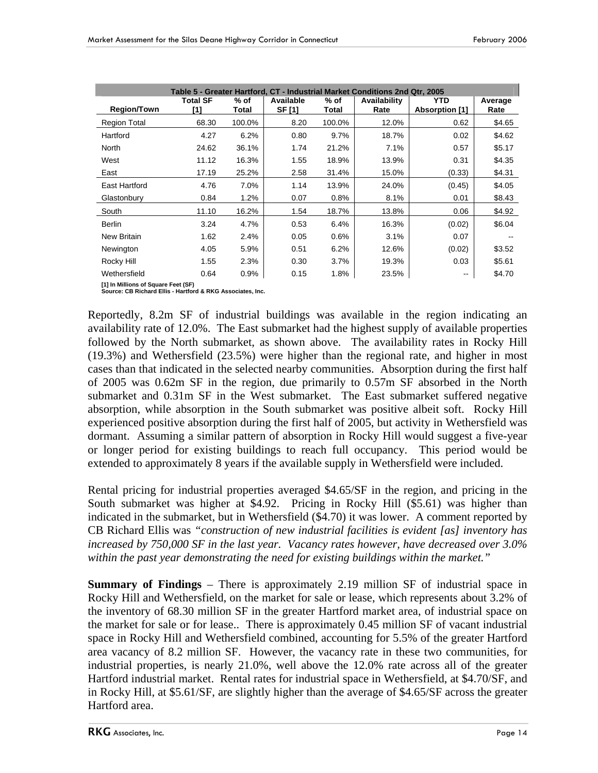| Table 5 - Greater Hartford, CT - Industrial Market Conditions 2nd Qtr, 2005 |                        |                 |                            |                 |                      |                       |                 |  |  |
|-----------------------------------------------------------------------------|------------------------|-----------------|----------------------------|-----------------|----------------------|-----------------------|-----------------|--|--|
| <b>Region/Town</b>                                                          | <b>Total SF</b><br>[1] | $%$ of<br>Total | Available<br><b>SF [1]</b> | $%$ of<br>Total | Availability<br>Rate | YTD<br>Absorption [1] | Average<br>Rate |  |  |
| <b>Region Total</b>                                                         | 68.30                  | 100.0%          | 8.20                       | 100.0%          | 12.0%                | 0.62                  | \$4.65          |  |  |
| Hartford                                                                    | 4.27                   | 6.2%            | 0.80                       | 9.7%            | 18.7%                | 0.02                  | \$4.62          |  |  |
| North                                                                       | 24.62                  | 36.1%           | 1.74                       | 21.2%           | 7.1%                 | 0.57                  | \$5.17          |  |  |
| West                                                                        | 11.12                  | 16.3%           | 1.55                       | 18.9%           | 13.9%                | 0.31                  | \$4.35          |  |  |
| East                                                                        | 17.19                  | 25.2%           | 2.58                       | 31.4%           | 15.0%                | (0.33)                | \$4.31          |  |  |
| East Hartford                                                               | 4.76                   | 7.0%            | 1.14                       | 13.9%           | 24.0%                | (0.45)                | \$4.05          |  |  |
| Glastonbury                                                                 | 0.84                   | 1.2%            | 0.07                       | 0.8%            | 8.1%                 | 0.01                  | \$8.43          |  |  |
| South                                                                       | 11.10                  | 16.2%           | 1.54                       | 18.7%           | 13.8%                | 0.06                  | \$4.92          |  |  |
| <b>Berlin</b>                                                               | 3.24                   | 4.7%            | 0.53                       | 6.4%            | 16.3%                | (0.02)                | \$6.04          |  |  |
| <b>New Britain</b>                                                          | 1.62                   | 2.4%            | 0.05                       | 0.6%            | 3.1%                 | 0.07                  |                 |  |  |
| Newington                                                                   | 4.05                   | 5.9%            | 0.51                       | 6.2%            | 12.6%                | (0.02)                | \$3.52          |  |  |
| Rocky Hill                                                                  | 1.55                   | 2.3%            | 0.30                       | 3.7%            | 19.3%                | 0.03                  | \$5.61          |  |  |
| Wethersfield                                                                | 0.64                   | 0.9%            | 0.15                       | 1.8%            | 23.5%                | --                    | \$4.70          |  |  |

**[1] In Millions of Square Feet (SF) Source: CB Richard Ellis - Hartford & RKG Associates, Inc.**

Reportedly, 8.2m SF of industrial buildings was available in the region indicating an availability rate of 12.0%. The East submarket had the highest supply of available properties followed by the North submarket, as shown above. The availability rates in Rocky Hill (19.3%) and Wethersfield (23.5%) were higher than the regional rate, and higher in most cases than that indicated in the selected nearby communities. Absorption during the first half of 2005 was 0.62m SF in the region, due primarily to 0.57m SF absorbed in the North submarket and 0.31m SF in the West submarket. The East submarket suffered negative absorption, while absorption in the South submarket was positive albeit soft. Rocky Hill experienced positive absorption during the first half of 2005, but activity in Wethersfield was dormant. Assuming a similar pattern of absorption in Rocky Hill would suggest a five-year or longer period for existing buildings to reach full occupancy. This period would be extended to approximately 8 years if the available supply in Wethersfield were included.

Rental pricing for industrial properties averaged \$4.65/SF in the region, and pricing in the South submarket was higher at \$4.92. Pricing in Rocky Hill (\$5.61) was higher than indicated in the submarket, but in Wethersfield (\$4.70) it was lower. A comment reported by CB Richard Ellis was *"construction of new industrial facilities is evident [as] inventory has increased by 750,000 SF in the last year. Vacancy rates however, have decreased over 3.0% within the past year demonstrating the need for existing buildings within the market."*

**Summary of Findings** – There is approximately 2.19 million SF of industrial space in Rocky Hill and Wethersfield, on the market for sale or lease, which represents about 3.2% of the inventory of 68.30 million SF in the greater Hartford market area, of industrial space on the market for sale or for lease.. There is approximately 0.45 million SF of vacant industrial space in Rocky Hill and Wethersfield combined, accounting for 5.5% of the greater Hartford area vacancy of 8.2 million SF. However, the vacancy rate in these two communities, for industrial properties, is nearly 21.0%, well above the 12.0% rate across all of the greater Hartford industrial market. Rental rates for industrial space in Wethersfield, at \$4.70/SF, and in Rocky Hill, at \$5.61/SF, are slightly higher than the average of \$4.65/SF across the greater Hartford area.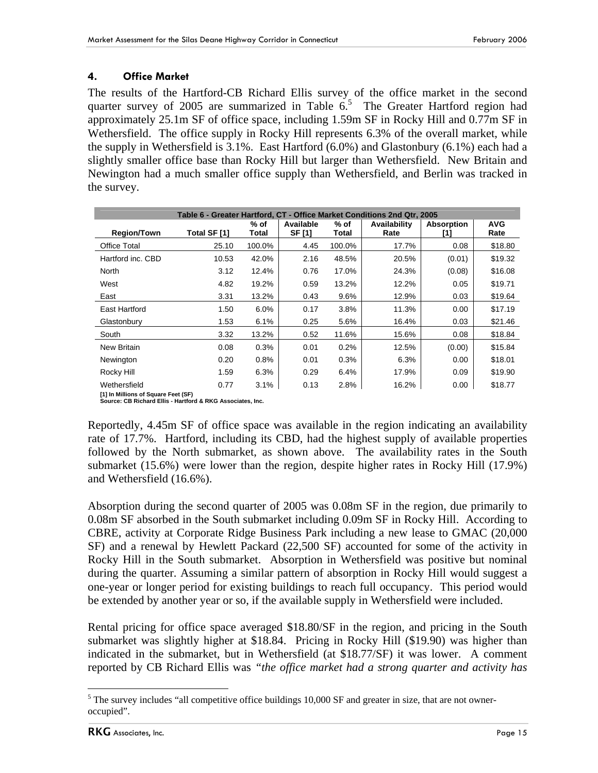## **4. Office Market**

The results of the Hartford-CB Richard Ellis survey of the office market in the second quarter survey of 2005 are summarized in Table  $6<sup>5</sup>$  The Greater Hartford region had approximately 25.1m SF of office space, including 1.59m SF in Rocky Hill and 0.77m SF in Wethersfield. The office supply in Rocky Hill represents 6.3% of the overall market, while the supply in Wethersfield is 3.1%. East Hartford (6.0%) and Glastonbury (6.1%) each had a slightly smaller office base than Rocky Hill but larger than Wethersfield. New Britain and Newington had a much smaller office supply than Wethersfield, and Berlin was tracked in the survey.

| Table 6 - Greater Hartford, CT - Office Market Conditions 2nd Qtr, 2005 |              |                 |                     |               |                             |                   |                    |  |
|-------------------------------------------------------------------------|--------------|-----------------|---------------------|---------------|-----------------------------|-------------------|--------------------|--|
| <b>Region/Town</b>                                                      | Total SF [1] | $%$ of<br>Total | Available<br>SF [1] | % of<br>Total | <b>Availability</b><br>Rate | Absorption<br>[1] | <b>AVG</b><br>Rate |  |
| <b>Office Total</b>                                                     | 25.10        | 100.0%          | 4.45                | 100.0%        | 17.7%                       | 0.08              | \$18.80            |  |
| Hartford inc. CBD                                                       | 10.53        | 42.0%           | 2.16                | 48.5%         | 20.5%                       | (0.01)            | \$19.32            |  |
| North                                                                   | 3.12         | 12.4%           | 0.76                | 17.0%         | 24.3%                       | (0.08)            | \$16.08            |  |
| West                                                                    | 4.82         | 19.2%           | 0.59                | 13.2%         | 12.2%                       | 0.05              | \$19.71            |  |
| East                                                                    | 3.31         | 13.2%           | 0.43                | 9.6%          | 12.9%                       | 0.03              | \$19.64            |  |
| East Hartford                                                           | 1.50         | 6.0%            | 0.17                | 3.8%          | 11.3%                       | 0.00              | \$17.19            |  |
| Glastonbury                                                             | 1.53         | 6.1%            | 0.25                | 5.6%          | 16.4%                       | 0.03              | \$21.46            |  |
| South                                                                   | 3.32         | 13.2%           | 0.52                | 11.6%         | 15.6%                       | 0.08              | \$18.84            |  |
| New Britain                                                             | 0.08         | 0.3%            | 0.01                | 0.2%          | 12.5%                       | (0.00)            | \$15.84            |  |
| Newington                                                               | 0.20         | 0.8%            | 0.01                | 0.3%          | 6.3%                        | 0.00              | \$18.01            |  |
| Rocky Hill                                                              | 1.59         | 6.3%            | 0.29                | 6.4%          | 17.9%                       | 0.09              | \$19.90            |  |
| Wethersfield                                                            | 0.77         | 3.1%            | 0.13                | 2.8%          | 16.2%                       | 0.00              | \$18.77            |  |
| [1] In Millions of Square Feet (SF)                                     |              |                 |                     |               |                             |                   |                    |  |

**[1] In Millions of Square Feet (SF) Source: CB Richard Ellis - Hartford & RKG Associates, Inc.**

Reportedly, 4.45m SF of office space was available in the region indicating an availability rate of 17.7%. Hartford, including its CBD, had the highest supply of available properties followed by the North submarket, as shown above. The availability rates in the South submarket (15.6%) were lower than the region, despite higher rates in Rocky Hill (17.9%) and Wethersfield (16.6%).

Absorption during the second quarter of 2005 was 0.08m SF in the region, due primarily to 0.08m SF absorbed in the South submarket including 0.09m SF in Rocky Hill. According to CBRE, activity at Corporate Ridge Business Park including a new lease to GMAC (20,000 SF) and a renewal by Hewlett Packard (22,500 SF) accounted for some of the activity in Rocky Hill in the South submarket. Absorption in Wethersfield was positive but nominal during the quarter. Assuming a similar pattern of absorption in Rocky Hill would suggest a one-year or longer period for existing buildings to reach full occupancy. This period would be extended by another year or so, if the available supply in Wethersfield were included.

Rental pricing for office space averaged \$18.80/SF in the region, and pricing in the South submarket was slightly higher at \$18.84. Pricing in Rocky Hill (\$19.90) was higher than indicated in the submarket, but in Wethersfield (at \$18.77/SF) it was lower. A comment reported by CB Richard Ellis was *"the office market had a strong quarter and activity has* 

 $\overline{a}$  $<sup>5</sup>$  The survey includes "all competitive office buildings 10,000 SF and greater in size, that are not owner-</sup> occupied".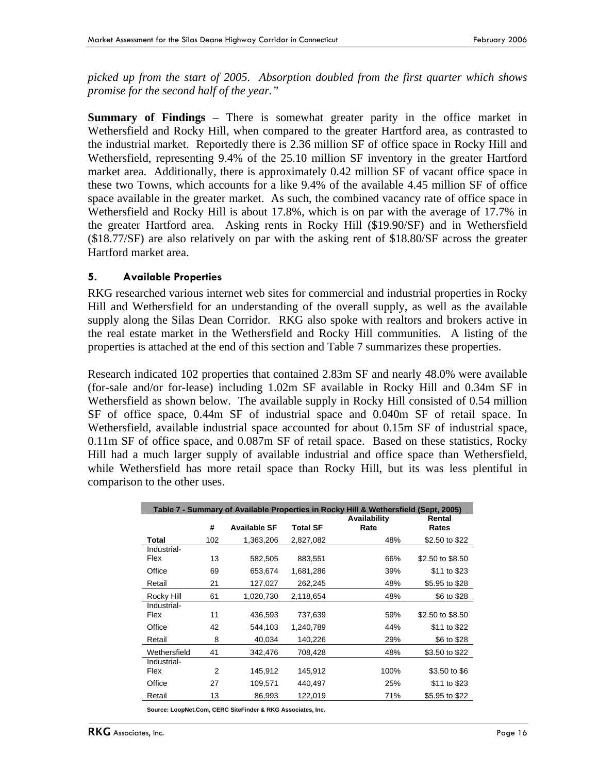*picked up from the start of 2005. Absorption doubled from the first quarter which shows promise for the second half of the year."*

**Summary of Findings** – There is somewhat greater parity in the office market in Wethersfield and Rocky Hill, when compared to the greater Hartford area, as contrasted to the industrial market. Reportedly there is 2.36 million SF of office space in Rocky Hill and Wethersfield, representing 9.4% of the 25.10 million SF inventory in the greater Hartford market area. Additionally, there is approximately 0.42 million SF of vacant office space in these two Towns, which accounts for a like 9.4% of the available 4.45 million SF of office space available in the greater market. As such, the combined vacancy rate of office space in Wethersfield and Rocky Hill is about 17.8%, which is on par with the average of 17.7% in the greater Hartford area. Asking rents in Rocky Hill (\$19.90/SF) and in Wethersfield (\$18.77/SF) are also relatively on par with the asking rent of \$18.80/SF across the greater Hartford market area.

#### **5. Available Properties**

RKG researched various internet web sites for commercial and industrial properties in Rocky Hill and Wethersfield for an understanding of the overall supply, as well as the available supply along the Silas Dean Corridor. RKG also spoke with realtors and brokers active in the real estate market in the Wethersfield and Rocky Hill communities. A listing of the properties is attached at the end of this section and Table 7 summarizes these properties.

Research indicated 102 properties that contained 2.83m SF and nearly 48.0% were available (for-sale and/or for-lease) including 1.02m SF available in Rocky Hill and 0.34m SF in Wethersfield as shown below. The available supply in Rocky Hill consisted of 0.54 million SF of office space, 0.44m SF of industrial space and 0.040m SF of retail space. In Wethersfield, available industrial space accounted for about 0.15m SF of industrial space, 0.11m SF of office space, and 0.087m SF of retail space. Based on these statistics, Rocky Hill had a much larger supply of available industrial and office space than Wethersfield, while Wethersfield has more retail space than Rocky Hill, but its was less plentiful in comparison to the other uses.

|              |                |                     |                 | Table 7 - Summary of Available Properties in Rocky Hill & Wethersfield (Sept, 2005) |                  |
|--------------|----------------|---------------------|-----------------|-------------------------------------------------------------------------------------|------------------|
|              |                |                     |                 | Availability                                                                        | Rental           |
|              | #              | <b>Available SF</b> | <b>Total SF</b> | Rate                                                                                | Rates            |
| Total        | 102            | 1,363,206           | 2,827,082       | 48%                                                                                 | \$2.50 to \$22   |
| Industrial-  |                |                     |                 |                                                                                     |                  |
| Flex         | 13             | 582,505             | 883,551         | 66%                                                                                 | \$2.50 to \$8.50 |
| Office       | 69             | 653.674             | 1,681,286       | 39%                                                                                 | \$11 to \$23     |
| Retail       | 21             | 127,027             | 262,245         | 48%                                                                                 | \$5.95 to \$28   |
| Rocky Hill   | 61             | 1,020,730           | 2,118,654       | 48%                                                                                 | \$6 to \$28      |
| Industrial-  |                |                     |                 |                                                                                     |                  |
| Flex         | 11             | 436,593             | 737.639         | 59%                                                                                 | \$2.50 to \$8.50 |
| Office       | 42             | 544.103             | 1.240.789       | 44%                                                                                 | \$11 to \$22     |
| Retail       | 8              | 40,034              | 140,226         | 29%                                                                                 | \$6 to \$28      |
| Wethersfield | 41             | 342,476             | 708,428         | 48%                                                                                 | \$3.50 to \$22   |
| Industrial-  |                |                     |                 |                                                                                     |                  |
| Flex         | $\mathfrak{p}$ | 145,912             | 145,912         | 100%                                                                                | \$3.50 to \$6    |
| Office       | 27             | 109,571             | 440,497         | 25%                                                                                 | \$11 to \$23     |
| Retail       | 13             | 86,993              | 122,019         | 71%                                                                                 | \$5.95 to \$22   |

**Source: LoopNet.Com, CERC SiteFinder & RKG Associates, Inc.**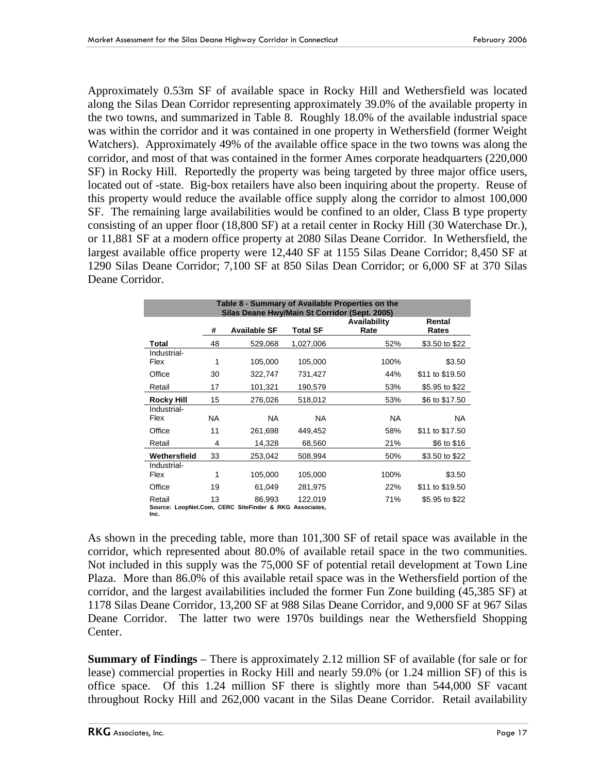Approximately 0.53m SF of available space in Rocky Hill and Wethersfield was located along the Silas Dean Corridor representing approximately 39.0% of the available property in the two towns, and summarized in Table 8. Roughly 18.0% of the available industrial space was within the corridor and it was contained in one property in Wethersfield (former Weight Watchers). Approximately 49% of the available office space in the two towns was along the corridor, and most of that was contained in the former Ames corporate headquarters (220,000 SF) in Rocky Hill. Reportedly the property was being targeted by three major office users, located out of -state. Big-box retailers have also been inquiring about the property. Reuse of this property would reduce the available office supply along the corridor to almost 100,000 SF. The remaining large availabilities would be confined to an older, Class B type property consisting of an upper floor (18,800 SF) at a retail center in Rocky Hill (30 Waterchase Dr.), or 11,881 SF at a modern office property at 2080 Silas Deane Corridor. In Wethersfield, the largest available office property were 12,440 SF at 1155 Silas Deane Corridor; 8,450 SF at 1290 Silas Deane Corridor; 7,100 SF at 850 Silas Dean Corridor; or 6,000 SF at 370 Silas Deane Corridor.

| Table 8 - Summary of Available Properties on the<br>Silas Deane Hwy/Main St Corridor (Sept. 2005) |                                                                                        |                                                                  |           |           |                 |  |  |  |  |
|---------------------------------------------------------------------------------------------------|----------------------------------------------------------------------------------------|------------------------------------------------------------------|-----------|-----------|-----------------|--|--|--|--|
|                                                                                                   | Availability<br>Rental<br><b>Available SF</b><br>#<br><b>Total SF</b><br>Rate<br>Rates |                                                                  |           |           |                 |  |  |  |  |
| Total                                                                                             | 48                                                                                     | 529,068                                                          | 1,027,006 | 52%       | \$3.50 to \$22  |  |  |  |  |
| Industrial-<br>Flex                                                                               | 1                                                                                      | 105,000                                                          | 105,000   | 100%      | \$3.50          |  |  |  |  |
| Office                                                                                            | 30                                                                                     | 322,747                                                          | 731,427   | 44%       | \$11 to \$19.50 |  |  |  |  |
| Retail                                                                                            | 17                                                                                     | 101,321                                                          | 190,579   | 53%       | \$5.95 to \$22  |  |  |  |  |
| <b>Rocky Hill</b>                                                                                 | 15                                                                                     | 276,026                                                          | 518,012   | 53%       | \$6 to \$17.50  |  |  |  |  |
| Industrial-<br>Flex                                                                               | NA.                                                                                    | NA.                                                              | <b>NA</b> | <b>NA</b> | <b>NA</b>       |  |  |  |  |
| Office                                                                                            | 11                                                                                     | 261,698                                                          | 449,452   | 58%       | \$11 to \$17.50 |  |  |  |  |
| Retail                                                                                            | 4                                                                                      | 14,328                                                           | 68,560    | 21%       | \$6 to \$16     |  |  |  |  |
| Wethersfield                                                                                      | 33                                                                                     | 253,042                                                          | 508,994   | 50%       | \$3.50 to \$22  |  |  |  |  |
| Industrial-<br>Flex                                                                               | 1                                                                                      | 105,000                                                          | 105,000   | 100%      | \$3.50          |  |  |  |  |
| Office                                                                                            | 19                                                                                     | 61,049                                                           | 281,975   | 22%       | \$11 to \$19.50 |  |  |  |  |
| Retail<br>Inc.                                                                                    | 13                                                                                     | 86,993<br>Source: LoopNet.Com, CERC SiteFinder & RKG Associates, | 122,019   | 71%       | \$5.95 to \$22  |  |  |  |  |

As shown in the preceding table, more than 101,300 SF of retail space was available in the corridor, which represented about 80.0% of available retail space in the two communities. Not included in this supply was the 75,000 SF of potential retail development at Town Line Plaza. More than 86.0% of this available retail space was in the Wethersfield portion of the corridor, and the largest availabilities included the former Fun Zone building (45,385 SF) at 1178 Silas Deane Corridor, 13,200 SF at 988 Silas Deane Corridor, and 9,000 SF at 967 Silas Deane Corridor. The latter two were 1970s buildings near the Wethersfield Shopping Center.

**Summary of Findings** – There is approximately 2.12 million SF of available (for sale or for lease) commercial properties in Rocky Hill and nearly 59.0% (or 1.24 million SF) of this is office space. Of this 1.24 million SF there is slightly more than 544,000 SF vacant throughout Rocky Hill and 262,000 vacant in the Silas Deane Corridor. Retail availability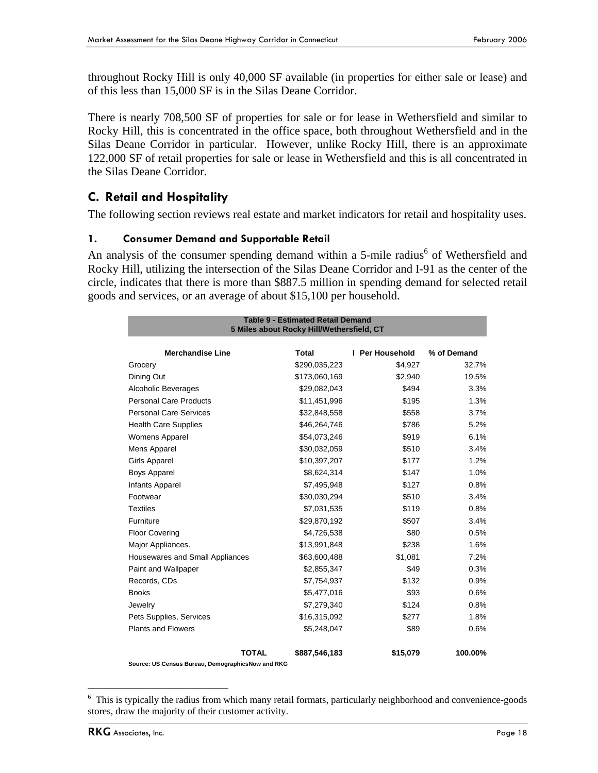throughout Rocky Hill is only 40,000 SF available (in properties for either sale or lease) and of this less than 15,000 SF is in the Silas Deane Corridor.

There is nearly 708,500 SF of properties for sale or for lease in Wethersfield and similar to Rocky Hill, this is concentrated in the office space, both throughout Wethersfield and in the Silas Deane Corridor in particular. However, unlike Rocky Hill, there is an approximate 122,000 SF of retail properties for sale or lease in Wethersfield and this is all concentrated in the Silas Deane Corridor.

## **C. Retail and Hospitality**

The following section reviews real estate and market indicators for retail and hospitality uses.

#### **1. Consumer Demand and Supportable Retail**

An analysis of the consumer spending demand within a 5-mile radius<sup>6</sup> of Wethersfield and Rocky Hill, utilizing the intersection of the Silas Deane Corridor and I-91 as the center of the circle, indicates that there is more than \$887.5 million in spending demand for selected retail goods and services, or an average of about \$15,100 per household.

| <b>Table 9 - Estimated Retail Demand</b><br>5 Miles about Rocky Hill/Wethersfield, CT |              |               |                 |             |  |  |  |  |
|---------------------------------------------------------------------------------------|--------------|---------------|-----------------|-------------|--|--|--|--|
| <b>Merchandise Line</b>                                                               |              | <b>Total</b>  | I Per Household | % of Demand |  |  |  |  |
| Grocery                                                                               |              | \$290,035,223 | \$4,927         | 32.7%       |  |  |  |  |
| Dining Out                                                                            |              | \$173,060,169 | \$2,940         | 19.5%       |  |  |  |  |
| Alcoholic Beverages                                                                   |              | \$29,082,043  | \$494           | 3.3%        |  |  |  |  |
| <b>Personal Care Products</b>                                                         |              | \$11,451,996  | \$195           | 1.3%        |  |  |  |  |
| <b>Personal Care Services</b>                                                         |              | \$32,848,558  | \$558           | 3.7%        |  |  |  |  |
| <b>Health Care Supplies</b>                                                           |              | \$46,264,746  | \$786           | 5.2%        |  |  |  |  |
| <b>Womens Apparel</b>                                                                 |              | \$54,073,246  | \$919           | 6.1%        |  |  |  |  |
| Mens Apparel                                                                          |              | \$30,032,059  | \$510           | 3.4%        |  |  |  |  |
| <b>Girls Apparel</b>                                                                  |              | \$10,397,207  | \$177           | 1.2%        |  |  |  |  |
| <b>Boys Apparel</b>                                                                   |              | \$8,624,314   | \$147           | 1.0%        |  |  |  |  |
| <b>Infants Apparel</b>                                                                |              | \$7,495,948   | \$127           | 0.8%        |  |  |  |  |
| Footwear                                                                              |              | \$30,030,294  | \$510           | 3.4%        |  |  |  |  |
| <b>Textiles</b>                                                                       |              | \$7,031,535   | \$119           | 0.8%        |  |  |  |  |
| Furniture                                                                             |              | \$29,870,192  | \$507           | 3.4%        |  |  |  |  |
| <b>Floor Covering</b>                                                                 |              | \$4,726,538   | \$80            | 0.5%        |  |  |  |  |
| Major Appliances.                                                                     |              | \$13,991,848  | \$238           | 1.6%        |  |  |  |  |
| Housewares and Small Appliances                                                       |              | \$63,600,488  | \$1,081         | 7.2%        |  |  |  |  |
| Paint and Wallpaper                                                                   |              | \$2,855,347   | \$49            | 0.3%        |  |  |  |  |
| Records, CDs                                                                          |              | \$7,754,937   | \$132           | 0.9%        |  |  |  |  |
| <b>Books</b>                                                                          |              | \$5,477,016   | \$93            | 0.6%        |  |  |  |  |
| Jewelry                                                                               |              | \$7,279,340   | \$124           | 0.8%        |  |  |  |  |
| Pets Supplies, Services                                                               |              | \$16,315,092  | \$277           | 1.8%        |  |  |  |  |
| <b>Plants and Flowers</b>                                                             |              | \$5,248,047   | \$89            | 0.6%        |  |  |  |  |
|                                                                                       | <b>TOTAL</b> | \$887,546,183 | \$15,079        | 100.00%     |  |  |  |  |

**Source: US Census Bureau, DemographicsNow and RKG**

 $\overline{a}$ 

<sup>&</sup>lt;sup>6</sup> This is typically the radius from which many retail formats, particularly neighborhood and convenience-goods stores, draw the majority of their customer activity.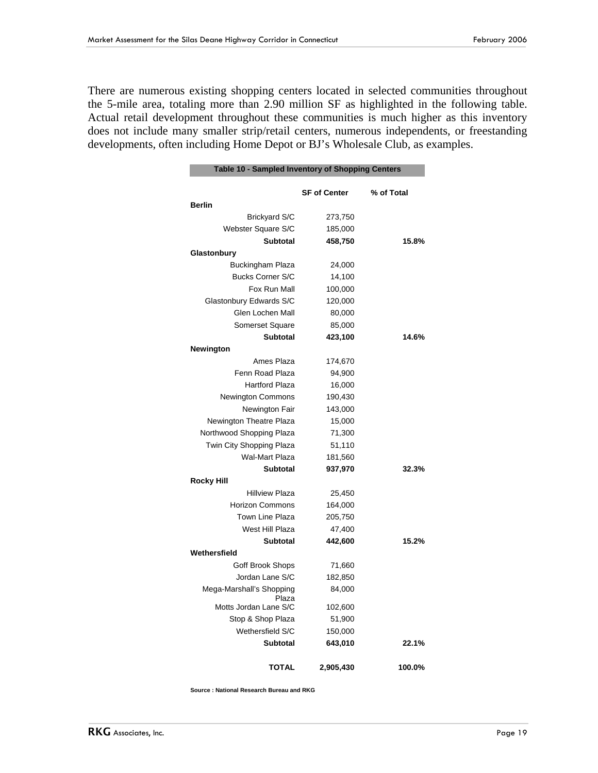There are numerous existing shopping centers located in selected communities throughout the 5-mile area, totaling more than 2.90 million SF as highlighted in the following table. Actual retail development throughout these communities is much higher as this inventory does not include many smaller strip/retail centers, numerous independents, or freestanding developments, often including Home Depot or BJ's Wholesale Club, as examples.

|                                   | <b>SF of Center</b> | % of Total |
|-----------------------------------|---------------------|------------|
| <b>Berlin</b>                     |                     |            |
| <b>Brickyard S/C</b>              | 273,750             |            |
| Webster Square S/C                | 185,000             |            |
| <b>Subtotal</b>                   | 458,750             | 15.8%      |
| Glastonbury                       |                     |            |
| <b>Buckingham Plaza</b>           | 24,000              |            |
| <b>Bucks Corner S/C</b>           | 14,100              |            |
| Fox Run Mall                      | 100,000             |            |
| Glastonbury Edwards S/C           | 120,000             |            |
| Glen Lochen Mall                  | 80,000              |            |
| <b>Somerset Square</b>            | 85,000              |            |
| <b>Subtotal</b>                   | 423,100             | 14.6%      |
| Newington                         |                     |            |
| Ames Plaza                        | 174,670             |            |
| Fenn Road Plaza                   | 94,900              |            |
| <b>Hartford Plaza</b>             | 16,000              |            |
| Newington Commons                 | 190,430             |            |
| Newington Fair                    | 143,000             |            |
| Newington Theatre Plaza           | 15,000              |            |
| Northwood Shopping Plaza          | 71,300              |            |
| Twin City Shopping Plaza          | 51,110              |            |
| <b>Wal-Mart Plaza</b>             | 181,560             |            |
| <b>Subtotal</b>                   | 937,970             | 32.3%      |
| <b>Rocky Hill</b>                 |                     |            |
| <b>Hillview Plaza</b>             | 25,450              |            |
| <b>Horizon Commons</b>            | 164,000             |            |
| Town Line Plaza                   | 205,750             |            |
| West Hill Plaza                   | 47,400              |            |
| <b>Subtotal</b>                   | 442,600             | 15.2%      |
| Wethersfield                      |                     |            |
| Goff Brook Shops                  | 71,660              |            |
| Jordan Lane S/C                   | 182,850             |            |
| Mega-Marshall's Shopping<br>Plaza | 84,000              |            |
| Motts Jordan Lane S/C             | 102,600             |            |
| Stop & Shop Plaza                 | 51,900              |            |
| Wethersfield S/C                  | 150,000             |            |
| <b>Subtotal</b>                   | 643,010             | 22.1%      |
| <b>TOTAL</b>                      | 2,905,430           | 100.0%     |

**Source : National Research Bureau and RKG**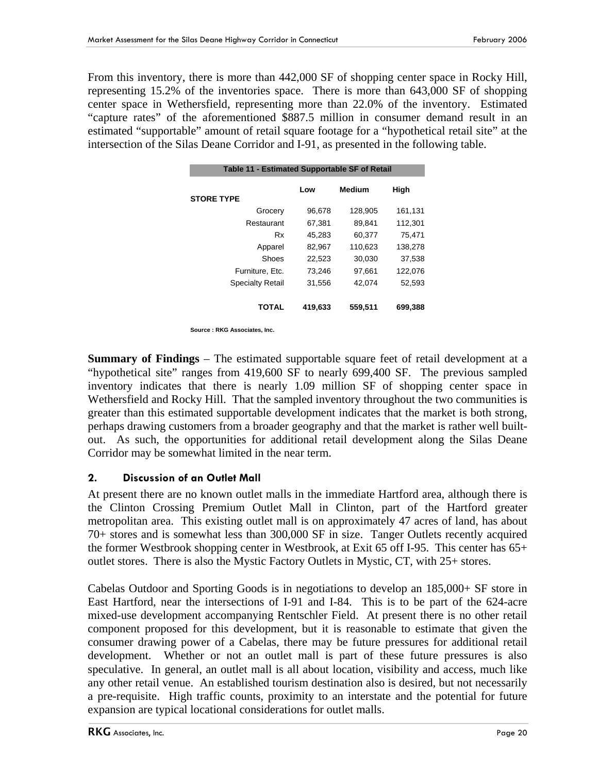From this inventory, there is more than 442,000 SF of shopping center space in Rocky Hill, representing 15.2% of the inventories space. There is more than 643,000 SF of shopping center space in Wethersfield, representing more than 22.0% of the inventory. Estimated "capture rates" of the aforementioned \$887.5 million in consumer demand result in an estimated "supportable" amount of retail square footage for a "hypothetical retail site" at the intersection of the Silas Deane Corridor and I-91, as presented in the following table.

| Table 11 - Estimated Supportable SF of Retail |         |               |         |  |  |  |  |  |
|-----------------------------------------------|---------|---------------|---------|--|--|--|--|--|
| <b>STORE TYPE</b>                             | Low     | <b>Medium</b> | High    |  |  |  |  |  |
| Grocery                                       | 96,678  | 128,905       | 161,131 |  |  |  |  |  |
| Restaurant                                    | 67,381  | 89.841        | 112,301 |  |  |  |  |  |
| Rx                                            | 45,283  | 60,377        | 75,471  |  |  |  |  |  |
| Apparel                                       | 82,967  | 110,623       | 138,278 |  |  |  |  |  |
| Shoes                                         | 22.523  | 30.030        | 37.538  |  |  |  |  |  |
| Furniture, Etc.                               | 73.246  | 97,661        | 122.076 |  |  |  |  |  |
| <b>Specialty Retail</b>                       | 31,556  | 42.074        | 52,593  |  |  |  |  |  |
| <b>TOTAL</b>                                  | 419,633 | 559,511       | 699,388 |  |  |  |  |  |

**Source : RKG Associates, Inc.**

**Summary of Findings** – The estimated supportable square feet of retail development at a "hypothetical site" ranges from 419,600 SF to nearly 699,400 SF. The previous sampled inventory indicates that there is nearly 1.09 million SF of shopping center space in Wethersfield and Rocky Hill. That the sampled inventory throughout the two communities is greater than this estimated supportable development indicates that the market is both strong, perhaps drawing customers from a broader geography and that the market is rather well builtout. As such, the opportunities for additional retail development along the Silas Deane Corridor may be somewhat limited in the near term.

## **2. Discussion of an Outlet Mall**

At present there are no known outlet malls in the immediate Hartford area, although there is the Clinton Crossing Premium Outlet Mall in Clinton, part of the Hartford greater metropolitan area. This existing outlet mall is on approximately 47 acres of land, has about 70+ stores and is somewhat less than 300,000 SF in size. Tanger Outlets recently acquired the former Westbrook shopping center in Westbrook, at Exit 65 off I-95. This center has 65+ outlet stores. There is also the Mystic Factory Outlets in Mystic, CT, with 25+ stores.

Cabelas Outdoor and Sporting Goods is in negotiations to develop an 185,000+ SF store in East Hartford, near the intersections of I-91 and I-84. This is to be part of the 624-acre mixed-use development accompanying Rentschler Field. At present there is no other retail component proposed for this development, but it is reasonable to estimate that given the consumer drawing power of a Cabelas, there may be future pressures for additional retail development. Whether or not an outlet mall is part of these future pressures is also speculative. In general, an outlet mall is all about location, visibility and access, much like any other retail venue. An established tourism destination also is desired, but not necessarily a pre-requisite. High traffic counts, proximity to an interstate and the potential for future expansion are typical locational considerations for outlet malls.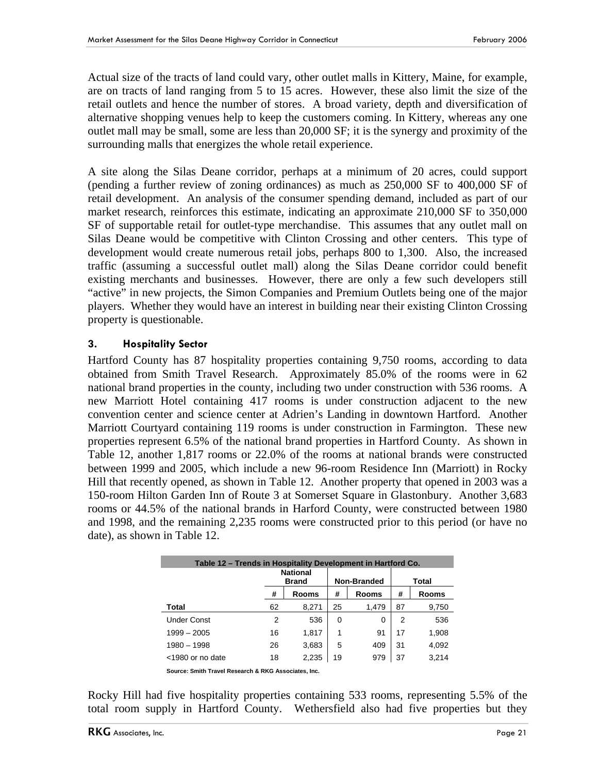Actual size of the tracts of land could vary, other outlet malls in Kittery, Maine, for example, are on tracts of land ranging from 5 to 15 acres. However, these also limit the size of the retail outlets and hence the number of stores. A broad variety, depth and diversification of alternative shopping venues help to keep the customers coming. In Kittery, whereas any one outlet mall may be small, some are less than 20,000 SF; it is the synergy and proximity of the surrounding malls that energizes the whole retail experience.

A site along the Silas Deane corridor, perhaps at a minimum of 20 acres, could support (pending a further review of zoning ordinances) as much as 250,000 SF to 400,000 SF of retail development. An analysis of the consumer spending demand, included as part of our market research, reinforces this estimate, indicating an approximate 210,000 SF to 350,000 SF of supportable retail for outlet-type merchandise. This assumes that any outlet mall on Silas Deane would be competitive with Clinton Crossing and other centers. This type of development would create numerous retail jobs, perhaps 800 to 1,300. Also, the increased traffic (assuming a successful outlet mall) along the Silas Deane corridor could benefit existing merchants and businesses. However, there are only a few such developers still "active" in new projects, the Simon Companies and Premium Outlets being one of the major players. Whether they would have an interest in building near their existing Clinton Crossing property is questionable.

#### **3. Hospitality Sector**

Hartford County has 87 hospitality properties containing 9,750 rooms, according to data obtained from Smith Travel Research. Approximately 85.0% of the rooms were in 62 national brand properties in the county, including two under construction with 536 rooms. A new Marriott Hotel containing 417 rooms is under construction adjacent to the new convention center and science center at Adrien's Landing in downtown Hartford. Another Marriott Courtyard containing 119 rooms is under construction in Farmington. These new properties represent 6.5% of the national brand properties in Hartford County. As shown in Table 12, another 1,817 rooms or 22.0% of the rooms at national brands were constructed between 1999 and 2005, which include a new 96-room Residence Inn (Marriott) in Rocky Hill that recently opened, as shown in Table 12. Another property that opened in 2003 was a 150-room Hilton Garden Inn of Route 3 at Somerset Square in Glastonbury. Another 3,683 rooms or 44.5% of the national brands in Harford County, were constructed between 1980 and 1998, and the remaining 2,235 rooms were constructed prior to this period (or have no date), as shown in Table 12.

| Table 12 – Trends in Hospitality Development in Hartford Co. |                                 |       |          |                    |       |              |  |  |  |  |
|--------------------------------------------------------------|---------------------------------|-------|----------|--------------------|-------|--------------|--|--|--|--|
|                                                              | <b>National</b><br><b>Brand</b> |       |          | <b>Non-Branded</b> | Total |              |  |  |  |  |
|                                                              | #                               | Rooms | #        | Rooms              | #     | <b>Rooms</b> |  |  |  |  |
| Total                                                        | 62                              | 8,271 | 25       | 1.479              | 87    | 9,750        |  |  |  |  |
| <b>Under Const</b>                                           | 2                               | 536   | $\Omega$ | 0                  | 2     | 536          |  |  |  |  |
| $1999 - 2005$                                                | 16                              | 1.817 | 1        | 91                 | 17    | 1,908        |  |  |  |  |
| $1980 - 1998$                                                | 26                              | 3,683 | 5        | 409                | 31    | 4,092        |  |  |  |  |
| $<$ 1980 or no date                                          | 18                              | 2,235 | 19       | 979                | 37    | 3,214        |  |  |  |  |
|                                                              |                                 |       |          |                    |       |              |  |  |  |  |

**Source: Smith Travel Research & RKG Associates, Inc.** 

Rocky Hill had five hospitality properties containing 533 rooms, representing 5.5% of the total room supply in Hartford County. Wethersfield also had five properties but they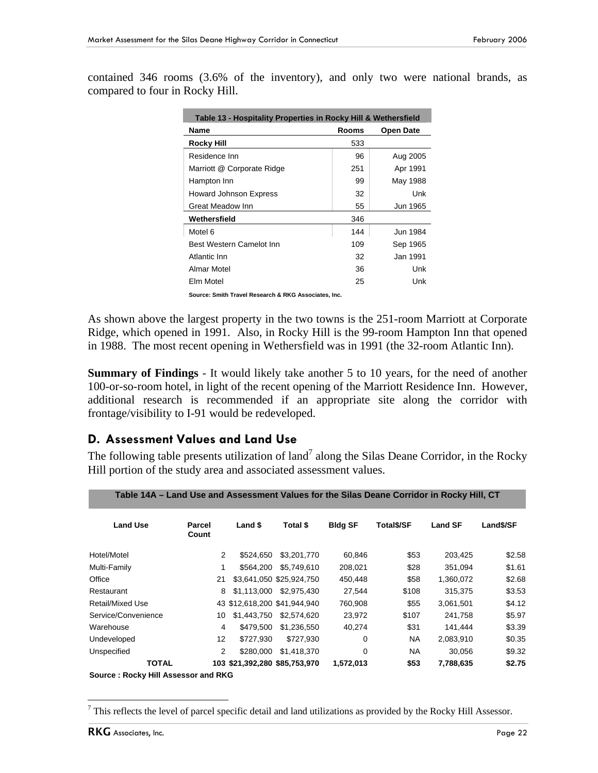contained 346 rooms (3.6% of the inventory), and only two were national brands, as compared to four in Rocky Hill.

| Table 13 - Hospitality Properties in Rocky Hill & Wethersfield |              |                  |  |  |  |  |  |  |
|----------------------------------------------------------------|--------------|------------------|--|--|--|--|--|--|
| Name                                                           | <b>Rooms</b> | <b>Open Date</b> |  |  |  |  |  |  |
| <b>Rocky Hill</b>                                              | 533          |                  |  |  |  |  |  |  |
| Residence Inn                                                  | 96           | Aug 2005         |  |  |  |  |  |  |
| Marriott @ Corporate Ridge                                     | 251          | Apr 1991         |  |  |  |  |  |  |
| Hampton Inn                                                    | 99           | May 1988         |  |  |  |  |  |  |
| <b>Howard Johnson Express</b>                                  | 32           | Unk              |  |  |  |  |  |  |
| <b>Great Meadow Inn</b>                                        | 55           | Jun 1965         |  |  |  |  |  |  |
| Wethersfield                                                   | 346          |                  |  |  |  |  |  |  |
| Motel 6                                                        | 144          | Jun 1984         |  |  |  |  |  |  |
| <b>Best Western Camelot Inn</b>                                | 109          | Sep 1965         |  |  |  |  |  |  |
| Atlantic Inn                                                   | 32           | Jan 1991         |  |  |  |  |  |  |
| Almar Motel                                                    | 36           | Unk              |  |  |  |  |  |  |
| Fim Motel                                                      | 25           | Unk              |  |  |  |  |  |  |

**Source: Smith Travel Research & RKG Associates, Inc.**

As shown above the largest property in the two towns is the 251-room Marriott at Corporate Ridge, which opened in 1991. Also, in Rocky Hill is the 99-room Hampton Inn that opened in 1988. The most recent opening in Wethersfield was in 1991 (the 32-room Atlantic Inn).

**Summary of Findings** - It would likely take another 5 to 10 years, for the need of another 100-or-so-room hotel, in light of the recent opening of the Marriott Residence Inn. However, additional research is recommended if an appropriate site along the corridor with frontage/visibility to I-91 would be redeveloped.

## **D. Assessment Values and Land Use**

The following table presents utilization of land<sup>7</sup> along the Silas Deane Corridor, in the Rocky Hill portion of the study area and associated assessment values.

**Table 14A – Land Use and Assessment Values for the Silas Deane Corridor in Rocky Hill, CT**

| $14WV + T$                          |                 |             |                               |                | Land OSC and ASSCSSMICHT Falacs for the Unas Deane Obthabit in Roomy Thin, OT |                |           |
|-------------------------------------|-----------------|-------------|-------------------------------|----------------|-------------------------------------------------------------------------------|----------------|-----------|
| <b>Land Use</b>                     | Parcel<br>Count | Land \$     | Total \$                      | <b>Bldg SF</b> | <b>Total\$/SF</b>                                                             | <b>Land SF</b> | Land\$/SF |
| Hotel/Motel                         | 2               | \$524.650   | \$3,201,770                   | 60,846         | \$53                                                                          | 203,425        | \$2.58    |
| Multi-Family                        | 1               | \$564.200   | \$5.749.610                   | 208,021        | \$28                                                                          | 351.094        | \$1.61    |
| Office                              | 21              |             | \$3,641,050 \$25,924,750      | 450,448        | \$58                                                                          | 1,360,072      | \$2.68    |
| Restaurant                          | 8               | \$1.113.000 | \$2.975.430                   | 27.544         | \$108                                                                         | 315.375        | \$3.53    |
| <b>Retail/Mixed Use</b>             |                 |             | 43 \$12,618,200 \$41,944,940  | 760,908        | \$55                                                                          | 3,061,501      | \$4.12    |
| Service/Convenience                 | 10              | \$1,443,750 | \$2,574,620                   | 23,972         | \$107                                                                         | 241.758        | \$5.97    |
| Warehouse                           | 4               | \$479.500   | \$1,236,550                   | 40,274         | \$31                                                                          | 141,444        | \$3.39    |
| Undeveloped                         | 12              | \$727.930   | \$727.930                     | 0              | <b>NA</b>                                                                     | 2,083,910      | \$0.35    |
| Unspecified                         | 2               | \$280,000   | \$1.418.370                   | 0              | <b>NA</b>                                                                     | 30,056         | \$9.32    |
| <b>TOTAL</b>                        |                 |             | 103 \$21,392,280 \$85,753,970 | 1,572,013      | \$53                                                                          | 7,788,635      | \$2.75    |
| Source: Rocky Hill Assessor and RKG |                 |             |                               |                |                                                                               |                |           |

 $<sup>7</sup>$  This reflects the level of parcel specific detail and land utilizations as provided by the Rocky Hill Assessor.</sup>

 $\overline{a}$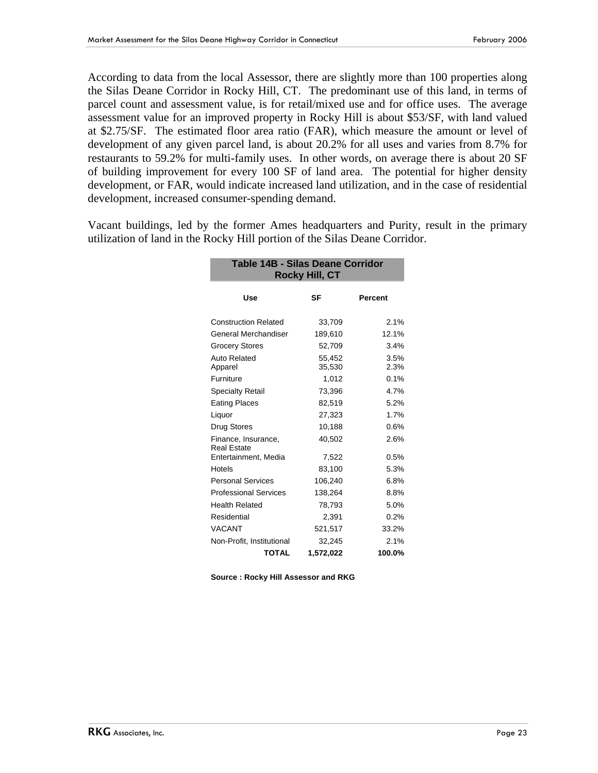According to data from the local Assessor, there are slightly more than 100 properties along the Silas Deane Corridor in Rocky Hill, CT. The predominant use of this land, in terms of parcel count and assessment value, is for retail/mixed use and for office uses. The average assessment value for an improved property in Rocky Hill is about \$53/SF, with land valued at \$2.75/SF. The estimated floor area ratio (FAR), which measure the amount or level of development of any given parcel land, is about 20.2% for all uses and varies from 8.7% for restaurants to 59.2% for multi-family uses. In other words, on average there is about 20 SF of building improvement for every 100 SF of land area. The potential for higher density development, or FAR, would indicate increased land utilization, and in the case of residential development, increased consumer-spending demand.

Vacant buildings, led by the former Ames headquarters and Purity, result in the primary utilization of land in the Rocky Hill portion of the Silas Deane Corridor.

**Table 14B - Silas Deane Corridor**

| <b>178 - Unde Deanc Obilitabl</b><br><b>Rocky Hill, CT</b> |                  |                |  |  |  |  |  |
|------------------------------------------------------------|------------------|----------------|--|--|--|--|--|
| Use                                                        | SF               | <b>Percent</b> |  |  |  |  |  |
| <b>Construction Related</b>                                | 33,709           | 2.1%           |  |  |  |  |  |
| General Merchandiser                                       | 189,610          | 12.1%          |  |  |  |  |  |
| <b>Grocery Stores</b>                                      | 52,709           | 3.4%           |  |  |  |  |  |
| Auto Related<br>Apparel                                    | 55,452<br>35,530 | 3.5%<br>2.3%   |  |  |  |  |  |
| Furniture                                                  | 1,012            | $0.1\%$        |  |  |  |  |  |
| Specialty Retail                                           | 73,396           | 4.7%           |  |  |  |  |  |
| <b>Eating Places</b>                                       | 82,519           | 5.2%           |  |  |  |  |  |
| Liquor                                                     | 27,323           | 1.7%           |  |  |  |  |  |
| <b>Drug Stores</b>                                         | 10,188           | 0.6%           |  |  |  |  |  |
| Finance, Insurance,<br><b>Real Estate</b>                  | 40,502           | 2.6%           |  |  |  |  |  |
| Entertainment, Media                                       | 7,522            | 0.5%           |  |  |  |  |  |
| Hotels                                                     | 83,100           | 5.3%           |  |  |  |  |  |
| <b>Personal Services</b>                                   | 106,240          | 6.8%           |  |  |  |  |  |
| <b>Professional Services</b>                               | 138,264          | 8.8%           |  |  |  |  |  |
| <b>Health Related</b>                                      | 78,793           | 5.0%           |  |  |  |  |  |
| Residential                                                | 2,391            | 0.2%           |  |  |  |  |  |
| <b>VACANT</b>                                              | 521,517          | 33.2%          |  |  |  |  |  |
| Non-Profit, Institutional                                  | 32,245           | 2.1%           |  |  |  |  |  |
| <b>TOTAL</b>                                               | 1,572,022        | 100.0%         |  |  |  |  |  |

**Source : Rocky Hill Assessor and RKG**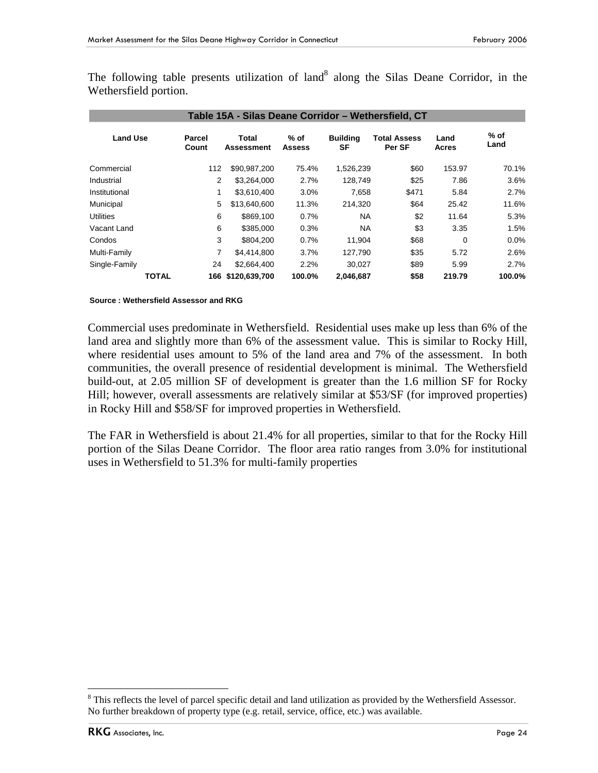The following table presents utilization of land<sup>8</sup> along the Silas Deane Corridor, in the Wethersfield portion.

| Table 15A - Silas Deane Corridor - Wethersfield, CT |              |                 |                            |                         |                       |                               |               |                |  |  |
|-----------------------------------------------------|--------------|-----------------|----------------------------|-------------------------|-----------------------|-------------------------------|---------------|----------------|--|--|
| <b>Land Use</b>                                     |              | Parcel<br>Count | Total<br><b>Assessment</b> | $%$ of<br><b>Assess</b> | <b>Building</b><br>SF | <b>Total Assess</b><br>Per SF | Land<br>Acres | $%$ of<br>Land |  |  |
| Commercial                                          |              | 112             | \$90,987,200               | 75.4%                   | 1,526,239             | \$60                          | 153.97        | 70.1%          |  |  |
| Industrial                                          |              | 2               | \$3,264,000                | 2.7%                    | 128.749               | \$25                          | 7.86          | 3.6%           |  |  |
| Institutional                                       |              | 1               | \$3,610,400                | 3.0%                    | 7,658                 | \$471                         | 5.84          | 2.7%           |  |  |
| Municipal                                           |              | 5               | \$13,640,600               | 11.3%                   | 214.320               | \$64                          | 25.42         | 11.6%          |  |  |
| <b>Utilities</b>                                    |              | 6               | \$869.100                  | 0.7%                    | <b>NA</b>             | \$2                           | 11.64         | 5.3%           |  |  |
| Vacant Land                                         |              | 6               | \$385,000                  | 0.3%                    | <b>NA</b>             | \$3                           | 3.35          | 1.5%           |  |  |
| Condos                                              |              | 3               | \$804.200                  | 0.7%                    | 11,904                | \$68                          | 0             | $0.0\%$        |  |  |
| Multi-Family                                        |              | 7               | \$4,414,800                | 3.7%                    | 127,790               | \$35                          | 5.72          | 2.6%           |  |  |
| Single-Family                                       |              | 24              | \$2,664,400                | 2.2%                    | 30,027                | \$89                          | 5.99          | 2.7%           |  |  |
|                                                     | <b>TOTAL</b> |                 | 166 \$120,639,700          | 100.0%                  | 2,046,687             | \$58                          | 219.79        | 100.0%         |  |  |

#### **Source : Wethersfield Assessor and RKG**

Commercial uses predominate in Wethersfield. Residential uses make up less than 6% of the land area and slightly more than 6% of the assessment value. This is similar to Rocky Hill, where residential uses amount to 5% of the land area and 7% of the assessment. In both communities, the overall presence of residential development is minimal. The Wethersfield build-out, at 2.05 million SF of development is greater than the 1.6 million SF for Rocky Hill; however, overall assessments are relatively similar at \$53/SF (for improved properties) in Rocky Hill and \$58/SF for improved properties in Wethersfield.

The FAR in Wethersfield is about 21.4% for all properties, similar to that for the Rocky Hill portion of the Silas Deane Corridor. The floor area ratio ranges from 3.0% for institutional uses in Wethersfield to 51.3% for multi-family properties

 $\overline{a}$ 

<sup>&</sup>lt;sup>8</sup> This reflects the level of parcel specific detail and land utilization as provided by the Wethersfield Assessor. No further breakdown of property type (e.g. retail, service, office, etc.) was available.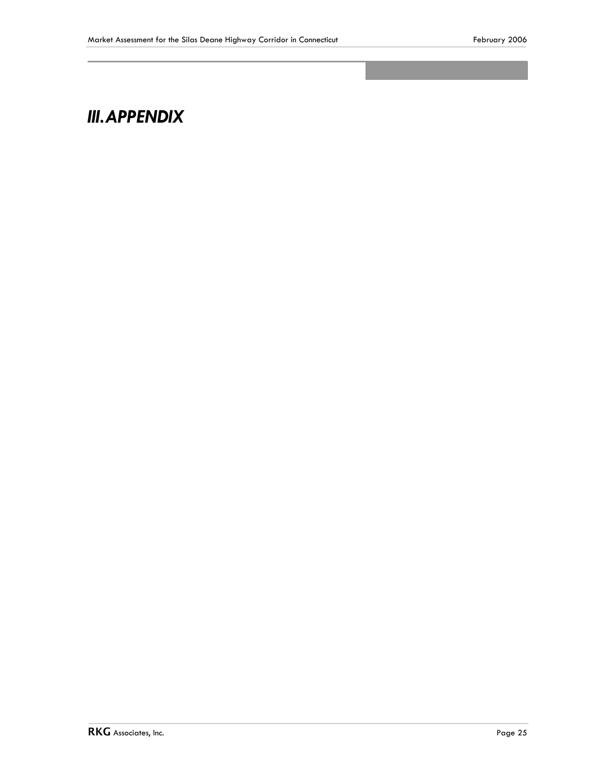## *III.APPENDIX*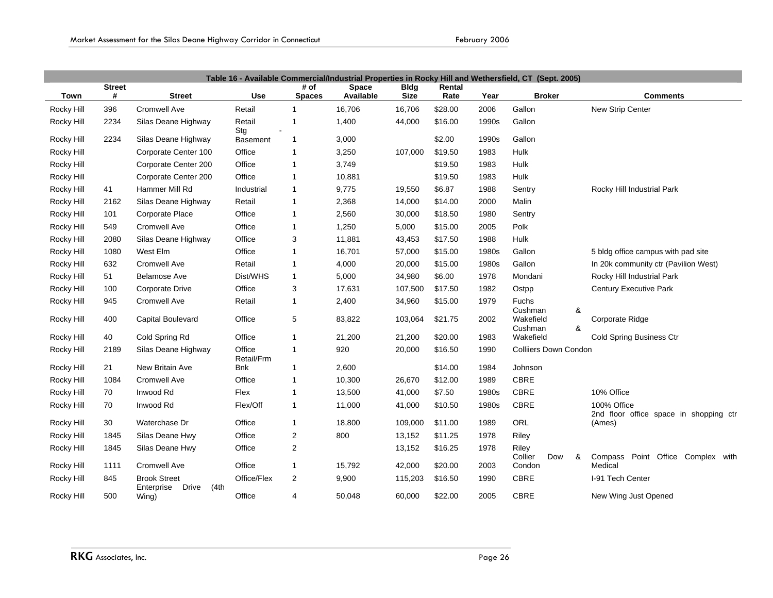|             | Table 16 - Available Commercial/Industrial Properties in Rocky Hill and Wethersfield, CT (Sept. 2005) |                                      |                      |                |              |             |         |       |                               |                                                       |  |
|-------------|-------------------------------------------------------------------------------------------------------|--------------------------------------|----------------------|----------------|--------------|-------------|---------|-------|-------------------------------|-------------------------------------------------------|--|
|             | <b>Street</b>                                                                                         |                                      | <b>Use</b>           | # of           | <b>Space</b> | <b>Bldg</b> | Rental  |       |                               |                                                       |  |
| <b>Town</b> | #                                                                                                     | <b>Street</b>                        |                      | <b>Spaces</b>  | Available    | <b>Size</b> | Rate    | Year  | <b>Broker</b>                 | <b>Comments</b>                                       |  |
| Rocky Hill  | 396                                                                                                   | Cromwell Ave                         | Retail               | -1             | 16,706       | 16,706      | \$28.00 | 2006  | Gallon                        | New Strip Center                                      |  |
| Rocky Hill  | 2234                                                                                                  | Silas Deane Highway                  | Retail<br>Stg        | 1              | 1,400        | 44,000      | \$16.00 | 1990s | Gallon                        |                                                       |  |
| Rocky Hill  | 2234                                                                                                  | Silas Deane Highway                  | <b>Basement</b>      | 1              | 3,000        |             | \$2.00  | 1990s | Gallon                        |                                                       |  |
| Rocky Hill  |                                                                                                       | Corporate Center 100                 | Office               | -1             | 3,250        | 107,000     | \$19.50 | 1983  | Hulk                          |                                                       |  |
| Rocky Hill  |                                                                                                       | Corporate Center 200                 | Office               | -1             | 3,749        |             | \$19.50 | 1983  | Hulk                          |                                                       |  |
| Rocky Hill  |                                                                                                       | Corporate Center 200                 | Office               | $\overline{1}$ | 10,881       |             | \$19.50 | 1983  | Hulk                          |                                                       |  |
| Rocky Hill  | 41                                                                                                    | Hammer Mill Rd                       | Industrial           | -1             | 9,775        | 19,550      | \$6.87  | 1988  | Sentry                        | Rocky Hill Industrial Park                            |  |
| Rocky Hill  | 2162                                                                                                  | Silas Deane Highway                  | Retail               | $\mathbf{1}$   | 2,368        | 14,000      | \$14.00 | 2000  | Malin                         |                                                       |  |
| Rocky Hill  | 101                                                                                                   | <b>Corporate Place</b>               | Office               | -1             | 2,560        | 30,000      | \$18.50 | 1980  | Sentry                        |                                                       |  |
| Rocky Hill  | 549                                                                                                   | Cromwell Ave                         | Office               | -1             | 1,250        | 5,000       | \$15.00 | 2005  | Polk                          |                                                       |  |
| Rocky Hill  | 2080                                                                                                  | Silas Deane Highway                  | Office               | 3              | 11,881       | 43,453      | \$17.50 | 1988  | Hulk                          |                                                       |  |
| Rocky Hill  | 1080                                                                                                  | West Elm                             | Office               | $\overline{1}$ | 16,701       | 57,000      | \$15.00 | 1980s | Gallon                        | 5 bldg office campus with pad site                    |  |
| Rocky Hill  | 632                                                                                                   | <b>Cromwell Ave</b>                  | Retail               | -1             | 4,000        | 20,000      | \$15.00 | 1980s | Gallon                        | In 20k community ctr (Pavilion West)                  |  |
| Rocky Hill  | 51                                                                                                    | Belamose Ave                         | Dist/WHS             | -1             | 5,000        | 34,980      | \$6.00  | 1978  | Mondani                       | Rocky Hill Industrial Park                            |  |
| Rocky Hill  | 100                                                                                                   | Corporate Drive                      | Office               | 3              | 17,631       | 107,500     | \$17.50 | 1982  | Ostpp                         | <b>Century Executive Park</b>                         |  |
| Rocky Hill  | 945                                                                                                   | Cromwell Ave                         | Retail               | $\overline{1}$ | 2,400        | 34,960      | \$15.00 | 1979  | Fuchs                         |                                                       |  |
| Rocky Hill  | 400                                                                                                   | Capital Boulevard                    | Office               | 5              | 83,822       | 103,064     | \$21.75 | 2002  | Cushman<br>&<br>Wakefield     | Corporate Ridge                                       |  |
|             |                                                                                                       |                                      |                      |                |              |             |         |       | &<br>Cushman                  |                                                       |  |
| Rocky Hill  | 40                                                                                                    | Cold Spring Rd                       | Office               | $\overline{1}$ | 21,200       | 21,200      | \$20.00 | 1983  | Wakefield                     | Cold Spring Business Ctr                              |  |
| Rocky Hill  | 2189                                                                                                  | Silas Deane Highway                  | Office<br>Retail/Frm | $\overline{1}$ | 920          | 20,000      | \$16.50 | 1990  | <b>Colliiers Down Condon</b>  |                                                       |  |
| Rocky Hill  | 21                                                                                                    | New Britain Ave                      | Bnk                  | $\mathbf{1}$   | 2,600        |             | \$14.00 | 1984  | Johnson                       |                                                       |  |
| Rocky Hill  | 1084                                                                                                  | Cromwell Ave                         | Office               | $\overline{1}$ | 10,300       | 26,670      | \$12.00 | 1989  | <b>CBRE</b>                   |                                                       |  |
| Rocky Hill  | 70                                                                                                    | Inwood Rd                            | Flex                 | $\overline{1}$ | 13,500       | 41,000      | \$7.50  | 1980s | <b>CBRE</b>                   | 10% Office                                            |  |
| Rocky Hill  | 70                                                                                                    | Inwood Rd                            | Flex/Off             | $\overline{1}$ | 11,000       | 41,000      | \$10.50 | 1980s | <b>CBRE</b>                   | 100% Office<br>2nd floor office space in shopping ctr |  |
| Rocky Hill  | 30                                                                                                    | Waterchase Dr                        | Office               | $\mathbf 1$    | 18,800       | 109,000     | \$11.00 | 1989  | <b>ORL</b>                    | (Ames)                                                |  |
| Rocky Hill  | 1845                                                                                                  | Silas Deane Hwy                      | Office               | $\overline{2}$ | 800          | 13,152      | \$11.25 | 1978  | Riley                         |                                                       |  |
| Rocky Hill  | 1845                                                                                                  | Silas Deane Hwy                      | Office               | $\overline{2}$ |              | 13,152      | \$16.25 | 1978  | Riley                         |                                                       |  |
| Rocky Hill  | 1111                                                                                                  | Cromwell Ave                         | Office               | $\mathbf{1}$   | 15,792       | 42,000      | \$20.00 | 2003  | Collier<br>Dow<br>&<br>Condon | Compass Point Office Complex with<br>Medical          |  |
| Rocky Hill  | 845                                                                                                   | <b>Brook Street</b>                  | Office/Flex          | $\overline{2}$ | 9,900        | 115,203     | \$16.50 | 1990  | <b>CBRE</b>                   | I-91 Tech Center                                      |  |
| Rocky Hill  | 500                                                                                                   | Drive<br>(4th<br>Enterprise<br>Wing) | Office               | 4              | 50,048       | 60,000      | \$22.00 | 2005  | <b>CBRE</b>                   | New Wing Just Opened                                  |  |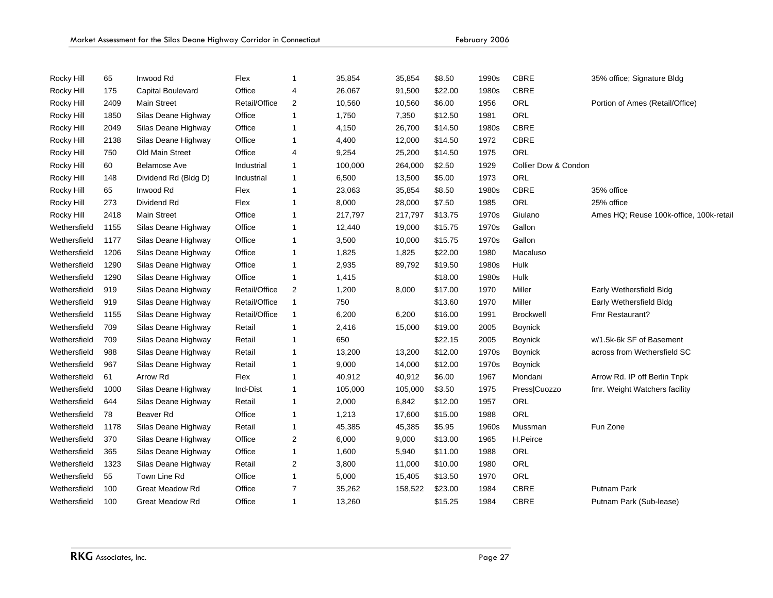|              | Market Assessment for the Silas Deane Highway Corridor in Connecticut |                          |               |                         |         |         | February 2006 |       |                      |                                         |
|--------------|-----------------------------------------------------------------------|--------------------------|---------------|-------------------------|---------|---------|---------------|-------|----------------------|-----------------------------------------|
|              |                                                                       |                          |               |                         |         |         |               |       |                      |                                         |
| Rocky Hill   | 65                                                                    | Inwood Rd                | Flex          | 1                       | 35,854  | 35,854  | \$8.50        | 1990s | <b>CBRE</b>          | 35% office; Signature Bldg              |
| Rocky Hill   | 175                                                                   | <b>Capital Boulevard</b> | Office        | $\overline{4}$          | 26,067  | 91,500  | \$22.00       | 1980s | <b>CBRE</b>          |                                         |
| Rocky Hill   | 2409                                                                  | <b>Main Street</b>       | Retail/Office | $\overline{\mathbf{c}}$ | 10,560  | 10,560  | \$6.00        | 1956  | ORL                  | Portion of Ames (Retail/Office)         |
| Rocky Hill   | 1850                                                                  | Silas Deane Highway      | Office        | $\mathbf{1}$            | 1,750   | 7,350   | \$12.50       | 1981  | ORL                  |                                         |
| Rocky Hill   | 2049                                                                  | Silas Deane Highway      | Office        | 1                       | 4,150   | 26,700  | \$14.50       | 1980s | <b>CBRE</b>          |                                         |
| Rocky Hill   | 2138                                                                  | Silas Deane Highway      | Office        | 1                       | 4,400   | 12,000  | \$14.50       | 1972  | <b>CBRE</b>          |                                         |
| Rocky Hill   | 750                                                                   | Old Main Street          | Office        | 4                       | 9,254   | 25,200  | \$14.50       | 1975  | ORL                  |                                         |
| Rocky Hill   | 60                                                                    | <b>Belamose Ave</b>      | Industrial    | $\mathbf{1}$            | 100,000 | 264,000 | \$2.50        | 1929  | Collier Dow & Condon |                                         |
| Rocky Hill   | 148                                                                   | Dividend Rd (Bldg D)     | Industrial    | 1                       | 6,500   | 13,500  | \$5.00        | 1973  | <b>ORL</b>           |                                         |
| Rocky Hill   | 65                                                                    | Inwood Rd                | Flex          | 1                       | 23,063  | 35,854  | \$8.50        | 1980s | <b>CBRE</b>          | 35% office                              |
| Rocky Hill   | 273                                                                   | Dividend Rd              | Flex          | 1                       | 8,000   | 28,000  | \$7.50        | 1985  | ORL                  | 25% office                              |
| Rocky Hill   | 2418                                                                  | <b>Main Street</b>       | Office        | 1                       | 217,797 | 217,797 | \$13.75       | 1970s | Giulano              | Ames HQ; Reuse 100k-office, 100k-retail |
| Wethersfield | 1155                                                                  | Silas Deane Highway      | Office        | 1                       | 12,440  | 19,000  | \$15.75       | 1970s | Gallon               |                                         |
| Wethersfield | 1177                                                                  | Silas Deane Highway      | Office        | $\mathbf 1$             | 3,500   | 10,000  | \$15.75       | 1970s | Gallon               |                                         |
| Wethersfield | 1206                                                                  | Silas Deane Highway      | Office        | 1                       | 1,825   | 1,825   | \$22.00       | 1980  | Macaluso             |                                         |
| Wethersfield | 1290                                                                  | Silas Deane Highway      | Office        | 1                       | 2,935   | 89,792  | \$19.50       | 1980s | Hulk                 |                                         |
| Wethersfield | 1290                                                                  | Silas Deane Highway      | Office        | $\mathbf 1$             | 1,415   |         | \$18.00       | 1980s | Hulk                 |                                         |
| Wethersfield | 919                                                                   | Silas Deane Highway      | Retail/Office | 2                       | 1,200   | 8,000   | \$17.00       | 1970  | Miller               | Early Wethersfield Bldg                 |
| Wethersfield | 919                                                                   | Silas Deane Highway      | Retail/Office | $\mathbf{1}$            | 750     |         | \$13.60       | 1970  | Miller               | Early Wethersfield Bldg                 |
| Wethersfield | 1155                                                                  | Silas Deane Highway      | Retail/Office | 1                       | 6,200   | 6,200   | \$16.00       | 1991  | <b>Brockwell</b>     | Fmr Restaurant?                         |
| Wethersfield | 709                                                                   | Silas Deane Highway      | Retail        | 1                       | 2,416   | 15,000  | \$19.00       | 2005  | <b>Boynick</b>       |                                         |
| Wethersfield | 709                                                                   | Silas Deane Highway      | Retail        | 1                       | 650     |         | \$22.15       | 2005  | <b>Boynick</b>       | w/1.5k-6k SF of Basement                |
| Wethersfield | 988                                                                   | Silas Deane Highway      | Retail        | 1                       | 13,200  | 13,200  | \$12.00       | 1970s | <b>Boynick</b>       | across from Wethersfield SC             |
| Wethersfield | 967                                                                   | Silas Deane Highway      | Retail        | $\mathbf 1$             | 9,000   | 14,000  | \$12.00       | 1970s | <b>Boynick</b>       |                                         |
| Wethersfield | 61                                                                    | Arrow Rd                 | Flex          | 1                       | 40,912  | 40,912  | \$6.00        | 1967  | Mondani              | Arrow Rd. IP off Berlin Tnpk            |
| Wethersfield | 1000                                                                  | Silas Deane Highway      | Ind-Dist      | 1                       | 105,000 | 105,000 | \$3.50        | 1975  | Press Cuozzo         | fmr. Weight Watchers facility           |
| Wethersfield | 644                                                                   | Silas Deane Highway      | Retail        | $\mathbf 1$             | 2,000   | 6,842   | \$12.00       | 1957  | ORL                  |                                         |
| Wethersfield | 78                                                                    | Beaver Rd                | Office        | $\mathbf{1}$            | 1,213   | 17,600  | \$15.00       | 1988  | ORL                  |                                         |
| Wethersfield | 1178                                                                  | Silas Deane Highway      | Retail        | $\mathbf 1$             | 45,385  | 45,385  | \$5.95        | 1960s | Mussman              | Fun Zone                                |
| Wethersfield | 370                                                                   | Silas Deane Highway      | Office        | 2                       | 6,000   | 9,000   | \$13.00       | 1965  | H.Peirce             |                                         |
| Wethersfield | 365                                                                   | Silas Deane Highway      | Office        | 1                       | 1,600   | 5,940   | \$11.00       | 1988  | ORL                  |                                         |
| Wethersfield | 1323                                                                  | Silas Deane Highway      | Retail        | $\overline{\mathbf{c}}$ | 3,800   | 11,000  | \$10.00       | 1980  | ORL                  |                                         |
| Wethersfield | 55                                                                    | Town Line Rd             | Office        | 1                       | 5,000   | 15,405  | \$13.50       | 1970  | ORL                  |                                         |
| Wethersfield | 100                                                                   | <b>Great Meadow Rd</b>   | Office        | $\overline{7}$          | 35,262  | 158,522 | \$23.00       | 1984  | <b>CBRE</b>          | Putnam Park                             |
| Wethersfield | 100                                                                   | <b>Great Meadow Rd</b>   | Office        | -1                      | 13,260  |         | \$15.25       | 1984  | <b>CBRE</b>          | Putnam Park (Sub-lease)                 |